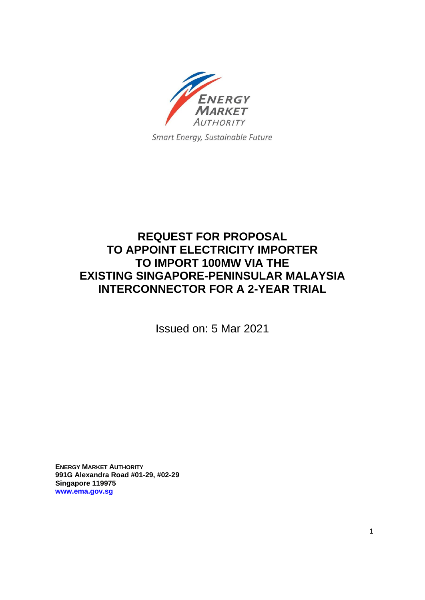

Smart Energy, Sustainable Future

# **REQUEST FOR PROPOSAL TO APPOINT ELECTRICITY IMPORTER TO IMPORT 100MW VIA THE EXISTING SINGAPORE-PENINSULAR MALAYSIA INTERCONNECTOR FOR A 2-YEAR TRIAL**

Issued on: 5 Mar 2021

**ENERGY MARKET AUTHORITY 991G Alexandra Road #01-29, #02-29 Singapore 119975 [www.ema.gov.sg](http://www.ema.gov.sg/)**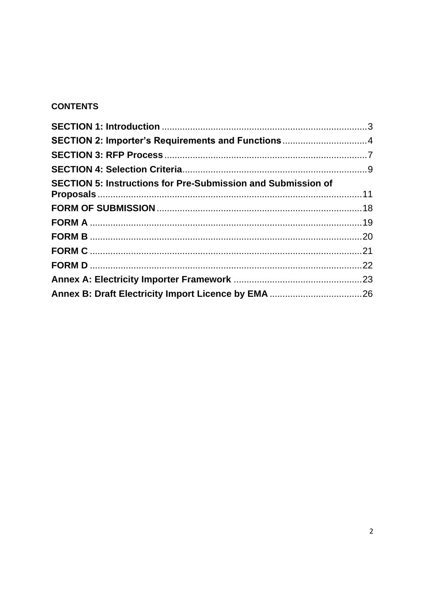## **CONTENTS**

| SECTION 2: Importer's Requirements and Functions4 |
|---------------------------------------------------|
|                                                   |
|                                                   |
|                                                   |
|                                                   |
|                                                   |
|                                                   |
|                                                   |
|                                                   |
|                                                   |
|                                                   |
|                                                   |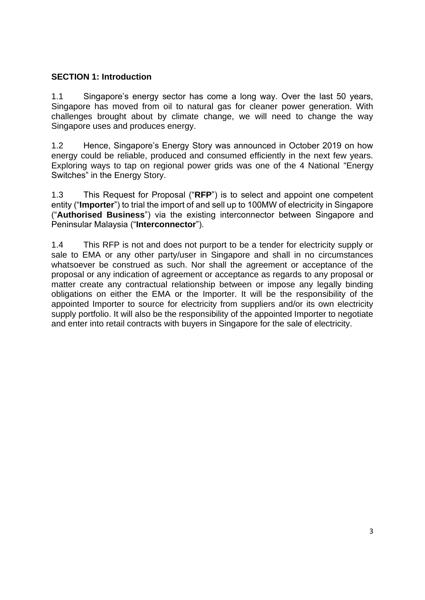### <span id="page-2-0"></span>**SECTION 1: Introduction**

1.1 Singapore's energy sector has come a long way. Over the last 50 years, Singapore has moved from oil to natural gas for cleaner power generation. With challenges brought about by climate change, we will need to change the way Singapore uses and produces energy.

1.2 Hence, Singapore's Energy Story was announced in October 2019 on how energy could be reliable, produced and consumed efficiently in the next few years. Exploring ways to tap on regional power grids was one of the 4 National "Energy Switches" in the Energy Story.

1.3 This Request for Proposal ("**RFP**") is to select and appoint one competent entity ("**Importer**") to trial the import of and sell up to 100MW of electricity in Singapore ("**Authorised Business**") via the existing interconnector between Singapore and Peninsular Malaysia ("**Interconnector**").

1.4 This RFP is not and does not purport to be a tender for electricity supply or sale to EMA or any other party/user in Singapore and shall in no circumstances whatsoever be construed as such. Nor shall the agreement or acceptance of the proposal or any indication of agreement or acceptance as regards to any proposal or matter create any contractual relationship between or impose any legally binding obligations on either the EMA or the Importer. It will be the responsibility of the appointed Importer to source for electricity from suppliers and/or its own electricity supply portfolio. It will also be the responsibility of the appointed Importer to negotiate and enter into retail contracts with buyers in Singapore for the sale of electricity.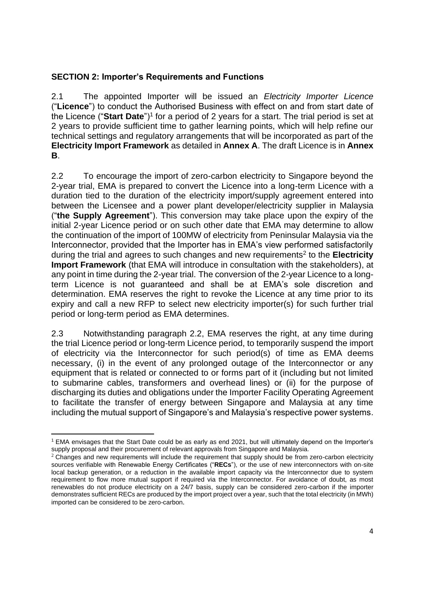### <span id="page-3-0"></span>**SECTION 2: Importer's Requirements and Functions**

2.1 The appointed Importer will be issued an *Electricity Importer Licence*  ("**Licence**") to conduct the Authorised Business with effect on and from start date of the Licence ("Start Date")<sup>1</sup> for a period of 2 years for a start. The trial period is set at 2 years to provide sufficient time to gather learning points, which will help refine our technical settings and regulatory arrangements that will be incorporated as part of the **Electricity Import Framework** as detailed in **Annex A**. The draft Licence is in **Annex B**.

2.2 To encourage the import of zero-carbon electricity to Singapore beyond the 2-year trial, EMA is prepared to convert the Licence into a long-term Licence with a duration tied to the duration of the electricity import/supply agreement entered into between the Licensee and a power plant developer/electricity supplier in Malaysia ("**the Supply Agreement**"). This conversion may take place upon the expiry of the initial 2-year Licence period or on such other date that EMA may determine to allow the continuation of the import of 100MW of electricity from Peninsular Malaysia via the Interconnector, provided that the Importer has in EMA's view performed satisfactorily during the trial and agrees to such changes and new requirements<sup>2</sup> to the **Electricity Import Framework** (that EMA will introduce in consultation with the stakeholders), at any point in time during the 2-year trial. The conversion of the 2-year Licence to a longterm Licence is not guaranteed and shall be at EMA's sole discretion and determination. EMA reserves the right to revoke the Licence at any time prior to its expiry and call a new RFP to select new electricity importer(s) for such further trial period or long-term period as EMA determines.

2.3 Notwithstanding paragraph 2.2, EMA reserves the right, at any time during the trial Licence period or long-term Licence period, to temporarily suspend the import of electricity via the Interconnector for such period(s) of time as EMA deems necessary, (i) in the event of any prolonged outage of the Interconnector or any equipment that is related or connected to or forms part of it (including but not limited to submarine cables, transformers and overhead lines) or (ii) for the purpose of discharging its duties and obligations under the Importer Facility Operating Agreement to facilitate the transfer of energy between Singapore and Malaysia at any time including the mutual support of Singapore's and Malaysia's respective power systems.

<sup>1</sup> EMA envisages that the Start Date could be as early as end 2021, but will ultimately depend on the Importer's supply proposal and their procurement of relevant approvals from Singapore and Malaysia.

 $2$  Changes and new requirements will include the requirement that supply should be from zero-carbon electricity sources verifiable with Renewable Energy Certificates ("**RECs**"), or the use of new interconnectors with on-site local backup generation, or a reduction in the available import capacity via the Interconnector due to system requirement to flow more mutual support if required via the Interconnector. For avoidance of doubt, as most renewables do not produce electricity on a 24/7 basis, supply can be considered zero-carbon if the importer demonstrates sufficient RECs are produced by the import project over a year, such that the total electricity (in MWh) imported can be considered to be zero-carbon.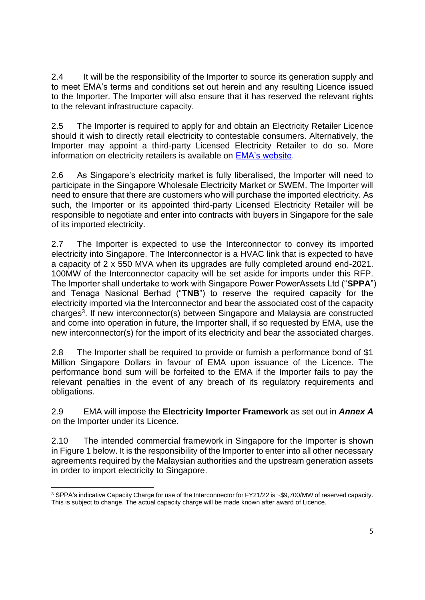2.4 It will be the responsibility of the Importer to source its generation supply and to meet EMA's terms and conditions set out herein and any resulting Licence issued to the Importer. The Importer will also ensure that it has reserved the relevant rights to the relevant infrastructure capacity.

2.5 The Importer is required to apply for and obtain an Electricity Retailer Licence should it wish to directly retail electricity to contestable consumers. Alternatively, the Importer may appoint a third-party Licensed Electricity Retailer to do so. More information on electricity retailers is available on [EMA's website.](https://www.ema.gov.sg/Licensees_Electricity_Retailer.aspx)

2.6 As Singapore's electricity market is fully liberalised, the Importer will need to participate in the Singapore Wholesale Electricity Market or SWEM. The Importer will need to ensure that there are customers who will purchase the imported electricity. As such, the Importer or its appointed third-party Licensed Electricity Retailer will be responsible to negotiate and enter into contracts with buyers in Singapore for the sale of its imported electricity.

2.7 The Importer is expected to use the Interconnector to convey its imported electricity into Singapore. The Interconnector is a HVAC link that is expected to have a capacity of 2 x 550 MVA when its upgrades are fully completed around end-2021. 100MW of the Interconnector capacity will be set aside for imports under this RFP. The Importer shall undertake to work with Singapore Power PowerAssets Ltd ("**SPPA**") and Tenaga Nasional Berhad ("**TNB**") to reserve the required capacity for the electricity imported via the Interconnector and bear the associated cost of the capacity charges<sup>3</sup>. If new interconnector(s) between Singapore and Malaysia are constructed and come into operation in future, the Importer shall, if so requested by EMA, use the new interconnector(s) for the import of its electricity and bear the associated charges.

2.8 The Importer shall be required to provide or furnish a performance bond of \$1 Million Singapore Dollars in favour of EMA upon issuance of the Licence. The performance bond sum will be forfeited to the EMA if the Importer fails to pay the relevant penalties in the event of any breach of its regulatory requirements and obligations.

2.9 EMA will impose the **Electricity Importer Framework** as set out in *Annex A* on the Importer under its Licence.

2.10 The intended commercial framework in Singapore for the Importer is shown in Figure 1 below. It is the responsibility of the Importer to enter into all other necessary agreements required by the Malaysian authorities and the upstream generation assets in order to import electricity to Singapore.

<sup>3</sup> SPPA's indicative Capacity Charge for use of the Interconnector for FY21/22 is ~\$9,700/MW of reserved capacity. This is subject to change. The actual capacity charge will be made known after award of Licence.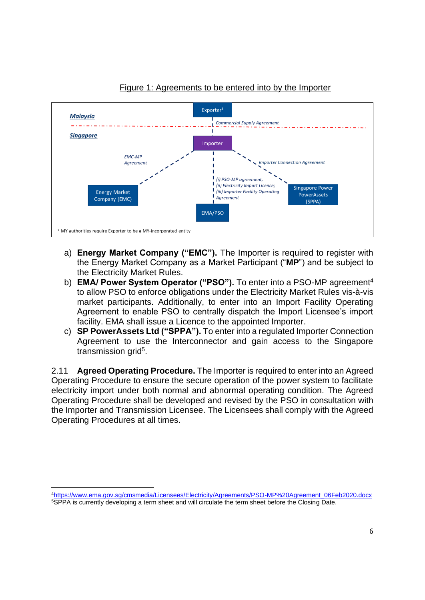

### Figure 1: Agreements to be entered into by the Importer

- a) **Energy Market Company ("EMC").** The Importer is required to register with the Energy Market Company as a Market Participant ("**MP**") and be subject to the Electricity Market Rules.
- b) **EMA/ Power System Operator ("PSO").** To enter into a PSO-MP agreement<sup>4</sup> to allow PSO to enforce obligations under the Electricity Market Rules vis-à-vis market participants. Additionally, to enter into an Import Facility Operating Agreement to enable PSO to centrally dispatch the Import Licensee's import facility. EMA shall issue a Licence to the appointed Importer.
- c) **SP PowerAssets Ltd ("SPPA").** To enter into a regulated Importer Connection Agreement to use the Interconnector and gain access to the Singapore transmission grid<sup>5</sup>.

2.11 **Agreed Operating Procedure.** The Importer is required to enter into an Agreed Operating Procedure to ensure the secure operation of the power system to facilitate electricity import under both normal and abnormal operating condition. The Agreed Operating Procedure shall be developed and revised by the PSO in consultation with the Importer and Transmission Licensee. The Licensees shall comply with the Agreed Operating Procedures at all times.

<sup>4</sup>[https://www.ema.gov.sg/cmsmedia/Licensees/Electricity/Agreements/PSO-MP%20Agreement\\_06Feb2020.docx](https://www.ema.gov.sg/cmsmedia/Licensees/Electricity/Agreements/PSO-MP%20Agreement_06Feb2020.docx) 5SPPA is currently developing a term sheet and will circulate the term sheet before the Closing Date.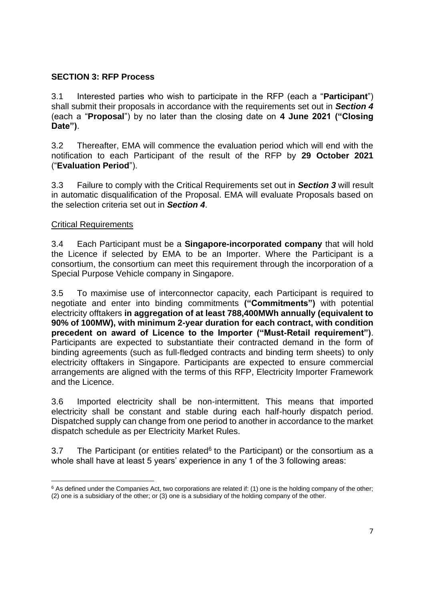### <span id="page-6-0"></span>**SECTION 3: RFP Process**

3.1 Interested parties who wish to participate in the RFP (each a "**Participant**") shall submit their proposals in accordance with the requirements set out in *Section 4* (each a "**Proposal**") by no later than the closing date on **4 June 2021 ("Closing Date")**.

3.2 Thereafter, EMA will commence the evaluation period which will end with the notification to each Participant of the result of the RFP by **29 October 2021** ("**Evaluation Period**").

3.3 Failure to comply with the Critical Requirements set out in *Section 3* will result in automatic disqualification of the Proposal. EMA will evaluate Proposals based on the selection criteria set out in *Section 4*.

### Critical Requirements

3.4 Each Participant must be a **Singapore-incorporated company** that will hold the Licence if selected by EMA to be an Importer. Where the Participant is a consortium, the consortium can meet this requirement through the incorporation of a Special Purpose Vehicle company in Singapore.

3.5 To maximise use of interconnector capacity, each Participant is required to negotiate and enter into binding commitments **("Commitments")** with potential electricity offtakers **in aggregation of at least 788,400MWh annually (equivalent to 90% of 100MW), with minimum 2-year duration for each contract, with condition precedent on award of Licence to the Importer ("Must-Retail requirement")**. Participants are expected to substantiate their contracted demand in the form of binding agreements (such as full-fledged contracts and binding term sheets) to only electricity offtakers in Singapore. Participants are expected to ensure commercial arrangements are aligned with the terms of this RFP, Electricity Importer Framework and the Licence.

3.6 Imported electricity shall be non-intermittent. This means that imported electricity shall be constant and stable during each half-hourly dispatch period. Dispatched supply can change from one period to another in accordance to the market dispatch schedule as per Electricity Market Rules.

3.7 The Participant (or entities related $6$  to the Participant) or the consortium as a whole shall have at least 5 years' experience in any 1 of the 3 following areas:

 $6$  As defined under the Companies Act, two corporations are related if: (1) one is the holding company of the other; (2) one is a subsidiary of the other; or (3) one is a subsidiary of the holding company of the other.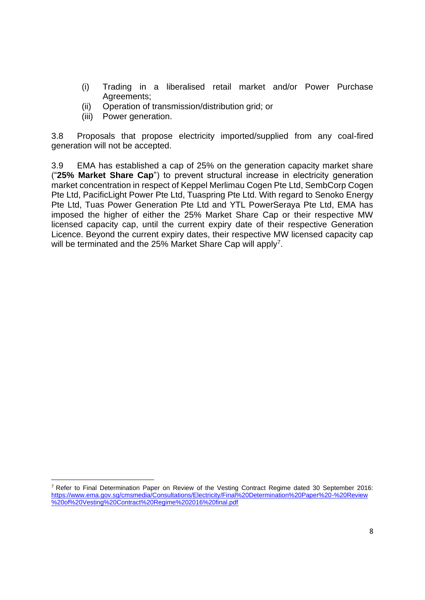- (i) Trading in a liberalised retail market and/or Power Purchase Agreements;
- (ii) Operation of transmission/distribution grid; or
- (iii) Power generation.

3.8 Proposals that propose electricity imported/supplied from any coal-fired generation will not be accepted.

3.9 EMA has established a cap of 25% on the generation capacity market share ("**25% Market Share Cap**") to prevent structural increase in electricity generation market concentration in respect of Keppel Merlimau Cogen Pte Ltd, SembCorp Cogen Pte Ltd, PacificLight Power Pte Ltd, Tuaspring Pte Ltd. With regard to Senoko Energy Pte Ltd, Tuas Power Generation Pte Ltd and YTL PowerSeraya Pte Ltd, EMA has imposed the higher of either the 25% Market Share Cap or their respective MW licensed capacity cap, until the current expiry date of their respective Generation Licence. Beyond the current expiry dates, their respective MW licensed capacity cap will be terminated and the 25% Market Share Cap will apply<sup>7</sup>.

<sup>7</sup> Refer to Final Determination Paper on Review of the Vesting Contract Regime dated 30 September 2016: [https://www.ema.gov.sg/cmsmedia/Consultations/Electricity/Final%20Determination%20Paper%20-%20Review](https://www.ema.gov.sg/cmsmedia/Consultations/Electricity/Final%20Determination%20Paper%20-%20Review%20of%20Vesting%20Contract%20Regime%202016%20final.pdf) [%20of%20Vesting%20Contract%20Regime%202016%20final.pdf](https://www.ema.gov.sg/cmsmedia/Consultations/Electricity/Final%20Determination%20Paper%20-%20Review%20of%20Vesting%20Contract%20Regime%202016%20final.pdf)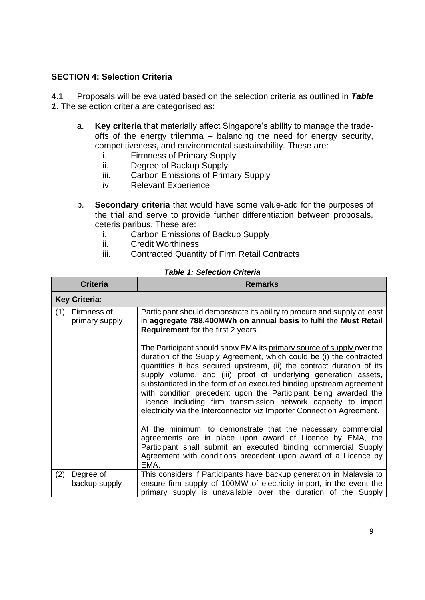### <span id="page-8-0"></span>**SECTION 4: Selection Criteria**

4.1 Proposals will be evaluated based on the selection criteria as outlined in *Table 1*. The selection criteria are categorised as:

- a. **Key criteria** that materially affect Singapore's ability to manage the tradeoffs of the energy trilemma – balancing the need for energy security, competitiveness, and environmental sustainability. These are:
	- i. Firmness of Primary Supply
	- ii. Degree of Backup Supply
	- iii. Carbon Emissions of Primary Supply
	- iv. Relevant Experience
- b. **Secondary criteria** that would have some value-add for the purposes of the trial and serve to provide further differentiation between proposals, ceteris paribus. These are:
	- i. Carbon Emissions of Backup Supply
	- ii. Credit Worthiness
	- iii. Contracted Quantity of Firm Retail Contracts

|                      | <b>Criteria</b>               | <b>Remarks</b>                                                                                                                                                                                                                                                                                                                                                                                                                |
|----------------------|-------------------------------|-------------------------------------------------------------------------------------------------------------------------------------------------------------------------------------------------------------------------------------------------------------------------------------------------------------------------------------------------------------------------------------------------------------------------------|
| <b>Key Criteria:</b> |                               |                                                                                                                                                                                                                                                                                                                                                                                                                               |
| (1)                  | Firmness of<br>primary supply | Participant should demonstrate its ability to procure and supply at least<br>in aggregate 788,400MWh on annual basis to fulfil the Must Retail<br><b>Requirement</b> for the first 2 years.<br>The Participant should show EMA its primary source of supply over the<br>duration of the Supply Agreement, which could be (i) the contracted                                                                                   |
|                      |                               | quantities it has secured upstream, (ii) the contract duration of its<br>supply volume, and (iii) proof of underlying generation assets,<br>substantiated in the form of an executed binding upstream agreement<br>with condition precedent upon the Participant being awarded the<br>Licence including firm transmission network capacity to import<br>electricity via the Interconnector viz Importer Connection Agreement. |
|                      |                               | At the minimum, to demonstrate that the necessary commercial<br>agreements are in place upon award of Licence by EMA, the<br>Participant shall submit an executed binding commercial Supply<br>Agreement with conditions precedent upon award of a Licence by<br>EMA.                                                                                                                                                         |
| (2)                  | Degree of<br>backup supply    | This considers if Participants have backup generation in Malaysia to<br>ensure firm supply of 100MW of electricity import, in the event the<br>primary supply is unavailable over the duration of the Supply                                                                                                                                                                                                                  |

#### *Table 1: Selection Criteria*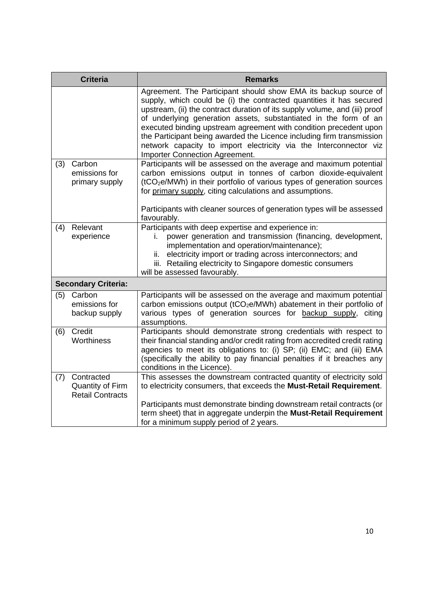|     | <b>Criteria</b>                                                  | <b>Remarks</b>                                                                                                                                                                                                                                                                                                                                                                                                                                                                                                                                       |
|-----|------------------------------------------------------------------|------------------------------------------------------------------------------------------------------------------------------------------------------------------------------------------------------------------------------------------------------------------------------------------------------------------------------------------------------------------------------------------------------------------------------------------------------------------------------------------------------------------------------------------------------|
|     |                                                                  | Agreement. The Participant should show EMA its backup source of<br>supply, which could be (i) the contracted quantities it has secured<br>upstream, (ii) the contract duration of its supply volume, and (iii) proof<br>of underlying generation assets, substantiated in the form of an<br>executed binding upstream agreement with condition precedent upon<br>the Participant being awarded the Licence including firm transmission<br>network capacity to import electricity via the Interconnector viz<br><b>Importer Connection Agreement.</b> |
| (3) | Carbon<br>emissions for<br>primary supply                        | Participants will be assessed on the average and maximum potential<br>carbon emissions output in tonnes of carbon dioxide-equivalent<br>(tCO <sub>2</sub> e/MWh) in their portfolio of various types of generation sources<br>for primary supply, citing calculations and assumptions.<br>Participants with cleaner sources of generation types will be assessed<br>favourably.                                                                                                                                                                      |
| (4) | Relevant<br>experience                                           | Participants with deep expertise and experience in:<br>power generation and transmission (financing, development,<br>i.<br>implementation and operation/maintenance);<br>electricity import or trading across interconnectors; and<br>ii.<br>iii. Retailing electricity to Singapore domestic consumers<br>will be assessed favourably.                                                                                                                                                                                                              |
|     | <b>Secondary Criteria:</b>                                       |                                                                                                                                                                                                                                                                                                                                                                                                                                                                                                                                                      |
| (5) | Carbon<br>emissions for<br>backup supply                         | Participants will be assessed on the average and maximum potential<br>carbon emissions output (tCO <sub>2</sub> e/MWh) abatement in their portfolio of<br>various types of generation sources for backup supply, citing<br>assumptions.                                                                                                                                                                                                                                                                                                              |
| (6) | Credit<br>Worthiness                                             | Participants should demonstrate strong credentials with respect to<br>their financial standing and/or credit rating from accredited credit rating<br>agencies to meet its obligations to: (i) SP; (ii) EMC; and (iii) EMA<br>(specifically the ability to pay financial penalties if it breaches any<br>conditions in the Licence).                                                                                                                                                                                                                  |
| (7) | Contracted<br><b>Quantity of Firm</b><br><b>Retail Contracts</b> | This assesses the downstream contracted quantity of electricity sold<br>to electricity consumers, that exceeds the Must-Retail Requirement.<br>Participants must demonstrate binding downstream retail contracts (or<br>term sheet) that in aggregate underpin the Must-Retail Requirement<br>for a minimum supply period of 2 years.                                                                                                                                                                                                                |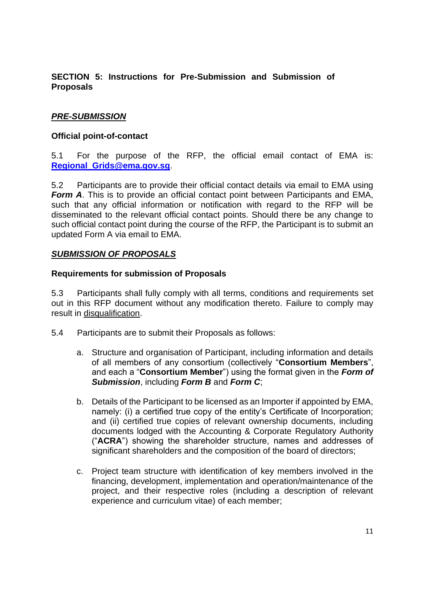### <span id="page-10-0"></span>**SECTION 5: Instructions for Pre-Submission and Submission of Proposals**

### *PRE-SUBMISSION*

### **Official point-of-contact**

5.1 For the purpose of the RFP, the official email contact of EMA is: **[Regional\\_Grids@ema.gov.sg](mailto:Regional_Grids@ema.gov.sg)**.

5.2 Participants are to provide their official contact details via email to EMA using *Form A*. This is to provide an official contact point between Participants and EMA, such that any official information or notification with regard to the RFP will be disseminated to the relevant official contact points. Should there be any change to such official contact point during the course of the RFP, the Participant is to submit an updated Form A via email to EMA.

### *SUBMISSION OF PROPOSALS*

### **Requirements for submission of Proposals**

5.3 Participants shall fully comply with all terms, conditions and requirements set out in this RFP document without any modification thereto. Failure to comply may result in disqualification.

- 5.4 Participants are to submit their Proposals as follows:
	- a. Structure and organisation of Participant, including information and details of all members of any consortium (collectively "**Consortium Members**", and each a "**Consortium Member**") using the format given in the *Form of Submission*, including *Form B* and *Form C*;
	- b. Details of the Participant to be licensed as an Importer if appointed by EMA, namely: (i) a certified true copy of the entity's Certificate of Incorporation; and (ii) certified true copies of relevant ownership documents, including documents lodged with the Accounting & Corporate Regulatory Authority ("**ACRA**") showing the shareholder structure, names and addresses of significant shareholders and the composition of the board of directors;
	- c. Project team structure with identification of key members involved in the financing, development, implementation and operation/maintenance of the project, and their respective roles (including a description of relevant experience and curriculum vitae) of each member;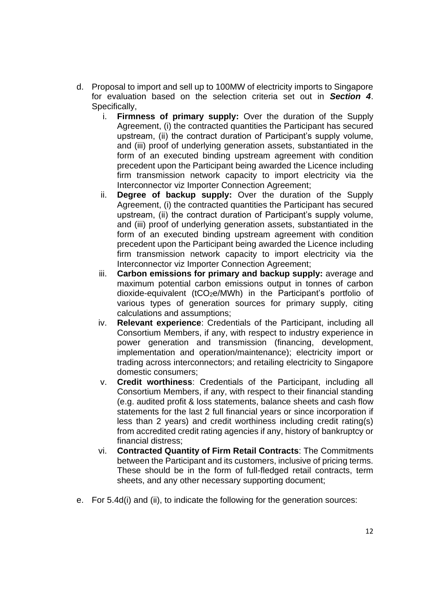- d. Proposal to import and sell up to 100MW of electricity imports to Singapore for evaluation based on the selection criteria set out in *Section 4*. Specifically,
	- i. **Firmness of primary supply:** Over the duration of the Supply Agreement, (i) the contracted quantities the Participant has secured upstream, (ii) the contract duration of Participant's supply volume, and (iii) proof of underlying generation assets, substantiated in the form of an executed binding upstream agreement with condition precedent upon the Participant being awarded the Licence including firm transmission network capacity to import electricity via the Interconnector viz Importer Connection Agreement;
	- ii. **Degree of backup supply:** Over the duration of the Supply Agreement, (i) the contracted quantities the Participant has secured upstream, (ii) the contract duration of Participant's supply volume, and (iii) proof of underlying generation assets, substantiated in the form of an executed binding upstream agreement with condition precedent upon the Participant being awarded the Licence including firm transmission network capacity to import electricity via the Interconnector viz Importer Connection Agreement;
	- iii. **Carbon emissions for primary and backup supply:** average and maximum potential carbon emissions output in tonnes of carbon dioxide-equivalent (tCO2e/MWh) in the Participant's portfolio of various types of generation sources for primary supply, citing calculations and assumptions;
	- iv. **Relevant experience**: Credentials of the Participant, including all Consortium Members, if any, with respect to industry experience in power generation and transmission (financing, development, implementation and operation/maintenance); electricity import or trading across interconnectors; and retailing electricity to Singapore domestic consumers;
	- v. **Credit worthiness**: Credentials of the Participant, including all Consortium Members, if any, with respect to their financial standing (e.g. audited profit & loss statements, balance sheets and cash flow statements for the last 2 full financial years or since incorporation if less than 2 years) and credit worthiness including credit rating(s) from accredited credit rating agencies if any, history of bankruptcy or financial distress;
	- vi. **Contracted Quantity of Firm Retail Contracts**: The Commitments between the Participant and its customers, inclusive of pricing terms. These should be in the form of full-fledged retail contracts, term sheets, and any other necessary supporting document;
- e. For 5.4d(i) and (ii), to indicate the following for the generation sources: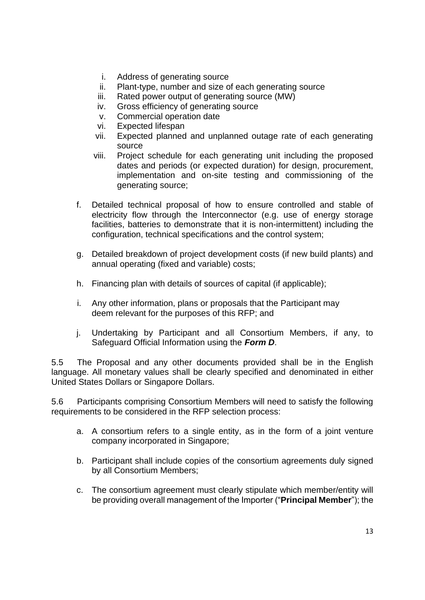- i. Address of generating source
- ii. Plant-type, number and size of each generating source
- iii. Rated power output of generating source (MW)
- iv. Gross efficiency of generating source
- v. Commercial operation date
- vi. Expected lifespan
- vii. Expected planned and unplanned outage rate of each generating source
- viii. Project schedule for each generating unit including the proposed dates and periods (or expected duration) for design, procurement, implementation and on-site testing and commissioning of the generating source;
- f. Detailed technical proposal of how to ensure controlled and stable of electricity flow through the Interconnector (e.g. use of energy storage facilities, batteries to demonstrate that it is non-intermittent) including the configuration, technical specifications and the control system;
- g. Detailed breakdown of project development costs (if new build plants) and annual operating (fixed and variable) costs;
- h. Financing plan with details of sources of capital (if applicable);
- i. Any other information, plans or proposals that the Participant may deem relevant for the purposes of this RFP; and
- j. Undertaking by Participant and all Consortium Members, if any, to Safeguard Official Information using the *Form D*.

5.5 The Proposal and any other documents provided shall be in the English language. All monetary values shall be clearly specified and denominated in either United States Dollars or Singapore Dollars.

5.6 Participants comprising Consortium Members will need to satisfy the following requirements to be considered in the RFP selection process:

- a. A consortium refers to a single entity, as in the form of a joint venture company incorporated in Singapore;
- b. Participant shall include copies of the consortium agreements duly signed by all Consortium Members;
- c. The consortium agreement must clearly stipulate which member/entity will be providing overall management of the Importer ("**Principal Member**"); the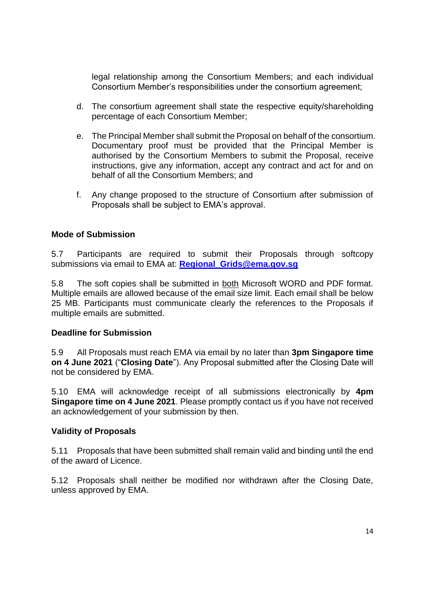legal relationship among the Consortium Members; and each individual Consortium Member's responsibilities under the consortium agreement;

- d. The consortium agreement shall state the respective equity/shareholding percentage of each Consortium Member;
- e. The Principal Member shall submit the Proposal on behalf of the consortium. Documentary proof must be provided that the Principal Member is authorised by the Consortium Members to submit the Proposal, receive instructions, give any information, accept any contract and act for and on behalf of all the Consortium Members; and
- f. Any change proposed to the structure of Consortium after submission of Proposals shall be subject to EMA's approval.

### **Mode of Submission**

5.7 Participants are required to submit their Proposals through softcopy submissions via email to EMA at: **[Regional\\_Grids@ema.gov.sg](mailto:Regional_Grids@ema.gov.sg)**

5.8 The soft copies shall be submitted in both Microsoft WORD and PDF format. Multiple emails are allowed because of the email size limit. Each email shall be below 25 MB. Participants must communicate clearly the references to the Proposals if multiple emails are submitted.

### **Deadline for Submission**

5.9 All Proposals must reach EMA via email by no later than **3pm Singapore time on 4 June 2021** ("**Closing Date**"). Any Proposal submitted after the Closing Date will not be considered by EMA.

5.10 EMA will acknowledge receipt of all submissions electronically by **4pm Singapore time on 4 June 2021**. Please promptly contact us if you have not received an acknowledgement of your submission by then.

### **Validity of Proposals**

5.11 Proposals that have been submitted shall remain valid and binding until the end of the award of Licence.

5.12 Proposals shall neither be modified nor withdrawn after the Closing Date, unless approved by EMA.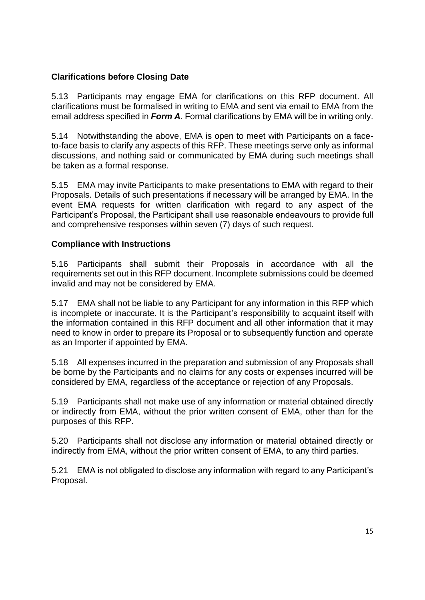### **Clarifications before Closing Date**

5.13 Participants may engage EMA for clarifications on this RFP document. All clarifications must be formalised in writing to EMA and sent via email to EMA from the email address specified in *Form A*. Formal clarifications by EMA will be in writing only.

5.14 Notwithstanding the above, EMA is open to meet with Participants on a faceto-face basis to clarify any aspects of this RFP. These meetings serve only as informal discussions, and nothing said or communicated by EMA during such meetings shall be taken as a formal response.

5.15 EMA may invite Participants to make presentations to EMA with regard to their Proposals. Details of such presentations if necessary will be arranged by EMA. In the event EMA requests for written clarification with regard to any aspect of the Participant's Proposal, the Participant shall use reasonable endeavours to provide full and comprehensive responses within seven (7) days of such request.

### **Compliance with Instructions**

5.16 Participants shall submit their Proposals in accordance with all the requirements set out in this RFP document. Incomplete submissions could be deemed invalid and may not be considered by EMA.

5.17 EMA shall not be liable to any Participant for any information in this RFP which is incomplete or inaccurate. It is the Participant's responsibility to acquaint itself with the information contained in this RFP document and all other information that it may need to know in order to prepare its Proposal or to subsequently function and operate as an Importer if appointed by EMA.

5.18 All expenses incurred in the preparation and submission of any Proposals shall be borne by the Participants and no claims for any costs or expenses incurred will be considered by EMA, regardless of the acceptance or rejection of any Proposals.

5.19 Participants shall not make use of any information or material obtained directly or indirectly from EMA, without the prior written consent of EMA, other than for the purposes of this RFP.

5.20 Participants shall not disclose any information or material obtained directly or indirectly from EMA, without the prior written consent of EMA, to any third parties.

5.21 EMA is not obligated to disclose any information with regard to any Participant's Proposal.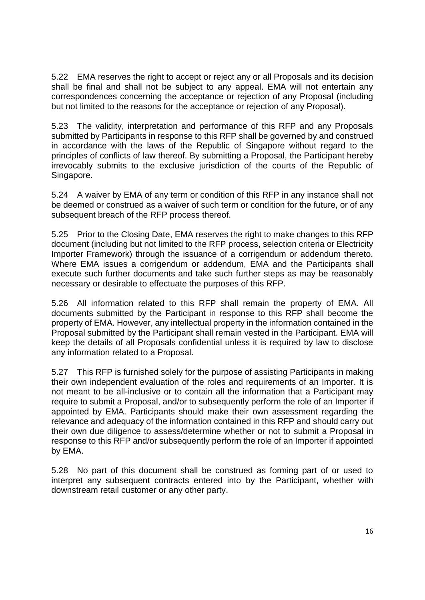5.22 EMA reserves the right to accept or reject any or all Proposals and its decision shall be final and shall not be subject to any appeal. EMA will not entertain any correspondences concerning the acceptance or rejection of any Proposal (including but not limited to the reasons for the acceptance or rejection of any Proposal).

5.23 The validity, interpretation and performance of this RFP and any Proposals submitted by Participants in response to this RFP shall be governed by and construed in accordance with the laws of the Republic of Singapore without regard to the principles of conflicts of law thereof. By submitting a Proposal, the Participant hereby irrevocably submits to the exclusive jurisdiction of the courts of the Republic of Singapore.

5.24 A waiver by EMA of any term or condition of this RFP in any instance shall not be deemed or construed as a waiver of such term or condition for the future, or of any subsequent breach of the RFP process thereof.

5.25 Prior to the Closing Date, EMA reserves the right to make changes to this RFP document (including but not limited to the RFP process, selection criteria or Electricity Importer Framework) through the issuance of a corrigendum or addendum thereto. Where EMA issues a corrigendum or addendum, EMA and the Participants shall execute such further documents and take such further steps as may be reasonably necessary or desirable to effectuate the purposes of this RFP.

5.26 All information related to this RFP shall remain the property of EMA. All documents submitted by the Participant in response to this RFP shall become the property of EMA. However, any intellectual property in the information contained in the Proposal submitted by the Participant shall remain vested in the Participant. EMA will keep the details of all Proposals confidential unless it is required by law to disclose any information related to a Proposal.

5.27 This RFP is furnished solely for the purpose of assisting Participants in making their own independent evaluation of the roles and requirements of an Importer. It is not meant to be all-inclusive or to contain all the information that a Participant may require to submit a Proposal, and/or to subsequently perform the role of an Importer if appointed by EMA. Participants should make their own assessment regarding the relevance and adequacy of the information contained in this RFP and should carry out their own due diligence to assess/determine whether or not to submit a Proposal in response to this RFP and/or subsequently perform the role of an Importer if appointed by EMA.

5.28 No part of this document shall be construed as forming part of or used to interpret any subsequent contracts entered into by the Participant, whether with downstream retail customer or any other party.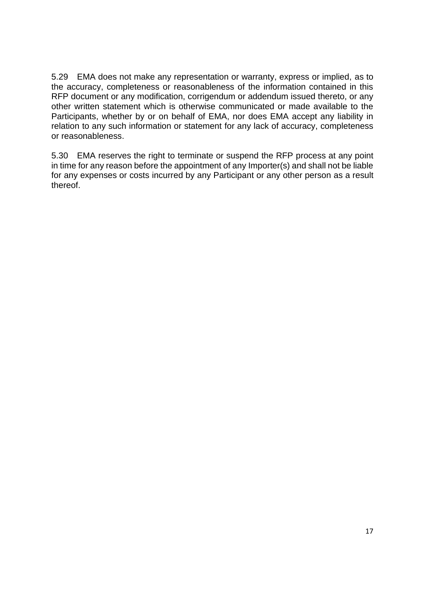5.29 EMA does not make any representation or warranty, express or implied, as to the accuracy, completeness or reasonableness of the information contained in this RFP document or any modification, corrigendum or addendum issued thereto, or any other written statement which is otherwise communicated or made available to the Participants, whether by or on behalf of EMA, nor does EMA accept any liability in relation to any such information or statement for any lack of accuracy, completeness or reasonableness.

5.30 EMA reserves the right to terminate or suspend the RFP process at any point in time for any reason before the appointment of any Importer(s) and shall not be liable for any expenses or costs incurred by any Participant or any other person as a result thereof.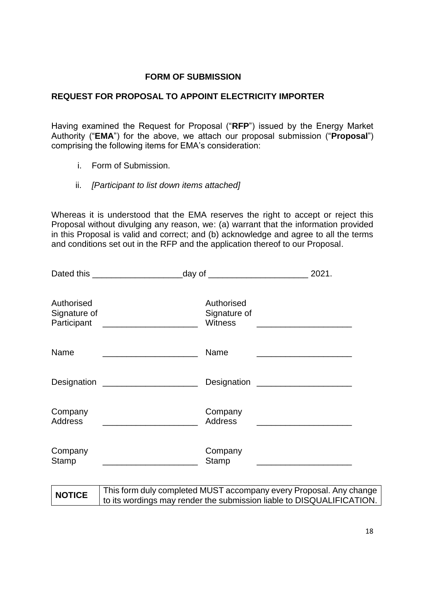### **FORM OF SUBMISSION**

### <span id="page-17-0"></span>**REQUEST FOR PROPOSAL TO APPOINT ELECTRICITY IMPORTER**

Having examined the Request for Proposal ("**RFP**") issued by the Energy Market Authority ("**EMA**") for the above, we attach our proposal submission ("**Proposal**") comprising the following items for EMA's consideration:

- i. Form of Submission.
- ii. *[Participant to list down items attached]*

Whereas it is understood that the EMA reserves the right to accept or reject this Proposal without divulging any reason, we: (a) warrant that the information provided in this Proposal is valid and correct; and (b) acknowledge and agree to all the terms and conditions set out in the RFP and the application thereof to our Proposal.

|                                           | Dated this ___________________________________day of ___________________________                                       |                                                                                    | 2021. |
|-------------------------------------------|------------------------------------------------------------------------------------------------------------------------|------------------------------------------------------------------------------------|-------|
| Authorised<br>Signature of<br>Participant | <u> 1980 - Jan Barbarat, manala</u> tar basar dan basar dan basar dan basar dan basar dan basar dan basar dan basar da | Authorised<br>Signature of<br><b>Witness</b>                                       |       |
| Name                                      |                                                                                                                        | Name<br>the control of the control of the control of the control of the control of |       |
|                                           | Designation ______________________                                                                                     |                                                                                    |       |
| Company<br><b>Address</b>                 |                                                                                                                        | Company<br><b>Address</b>                                                          |       |
| Company<br><b>Stamp</b>                   |                                                                                                                        | Company<br>Stamp                                                                   |       |
|                                           |                                                                                                                        |                                                                                    |       |

| <b>NOTICE</b> | This form duly completed MUST accompany every Proposal. Any change                 |
|---------------|------------------------------------------------------------------------------------|
|               | <sup>1</sup> to its wordings may render the submission liable to DISQUALIFICATION. |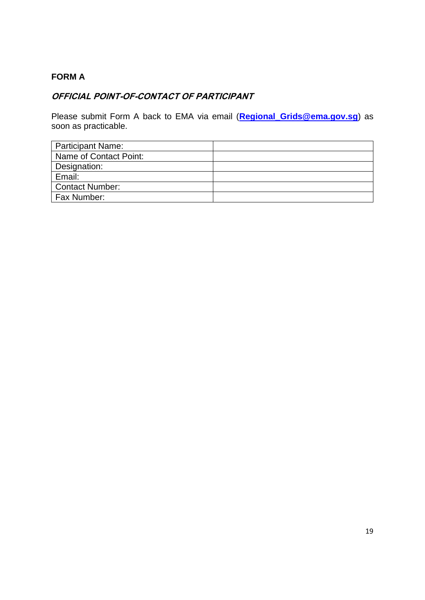### <span id="page-18-0"></span>**FORM A**

### **OFFICIAL POINT-OF-CONTACT OF PARTICIPANT**

Please submit Form A back to EMA via email (**[Regional\\_Grids@ema.gov.sg](mailto:Regional_Grids@ema.gov.sg)**) as soon as practicable.

| <b>Participant Name:</b> |  |
|--------------------------|--|
| Name of Contact Point:   |  |
| Designation:             |  |
| Email:                   |  |
| <b>Contact Number:</b>   |  |
| Fax Number:              |  |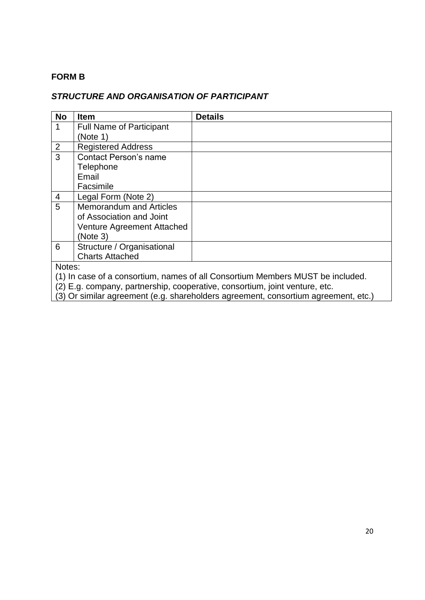### <span id="page-19-0"></span>**FORM B**

### *STRUCTURE AND ORGANISATION OF PARTICIPANT*

| <b>No</b>      | <b>Item</b>                     | <b>Details</b>                                                                   |
|----------------|---------------------------------|----------------------------------------------------------------------------------|
|                | <b>Full Name of Participant</b> |                                                                                  |
|                | (Note 1)                        |                                                                                  |
| $\overline{2}$ | <b>Registered Address</b>       |                                                                                  |
| 3              | <b>Contact Person's name</b>    |                                                                                  |
|                | Telephone                       |                                                                                  |
|                | Email                           |                                                                                  |
|                | Facsimile                       |                                                                                  |
| 4              | Legal Form (Note 2)             |                                                                                  |
| 5              | <b>Memorandum and Articles</b>  |                                                                                  |
|                | of Association and Joint        |                                                                                  |
|                | Venture Agreement Attached      |                                                                                  |
|                | (Note 3)                        |                                                                                  |
| 6              | Structure / Organisational      |                                                                                  |
|                | <b>Charts Attached</b>          |                                                                                  |
| Notes:         |                                 |                                                                                  |
|                |                                 | (4) la secondo concentium proposabilità del Concentium Mondesia MUCT ha included |

(1) In case of a consortium, names of all Consortium Members MUST be included.

(2) E.g. company, partnership, cooperative, consortium, joint venture, etc.

(3) Or similar agreement (e.g. shareholders agreement, consortium agreement, etc.)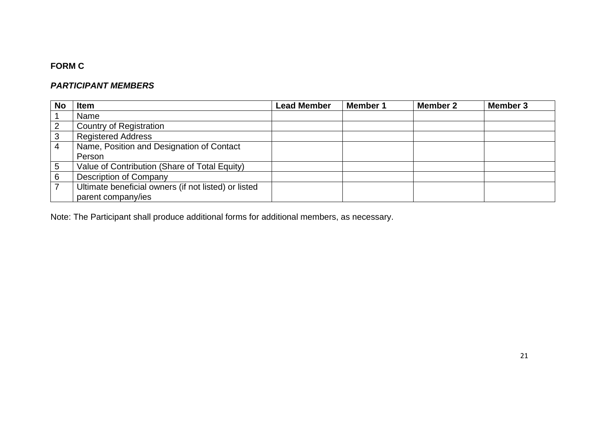### **FORM C**

### *PARTICIPANT MEMBERS*

| <b>No</b>      | <b>Item</b>                                          | <b>Lead Member</b> | <b>Member 1</b> | <b>Member 2</b> | <b>Member 3</b> |
|----------------|------------------------------------------------------|--------------------|-----------------|-----------------|-----------------|
|                | Name                                                 |                    |                 |                 |                 |
| $\overline{2}$ | <b>Country of Registration</b>                       |                    |                 |                 |                 |
| 3              | <b>Registered Address</b>                            |                    |                 |                 |                 |
| $\overline{4}$ | Name, Position and Designation of Contact            |                    |                 |                 |                 |
|                | Person                                               |                    |                 |                 |                 |
| 5              | Value of Contribution (Share of Total Equity)        |                    |                 |                 |                 |
| 6              | <b>Description of Company</b>                        |                    |                 |                 |                 |
|                | Ultimate beneficial owners (if not listed) or listed |                    |                 |                 |                 |
|                | parent company/ies                                   |                    |                 |                 |                 |

<span id="page-20-0"></span>Note: The Participant shall produce additional forms for additional members, as necessary.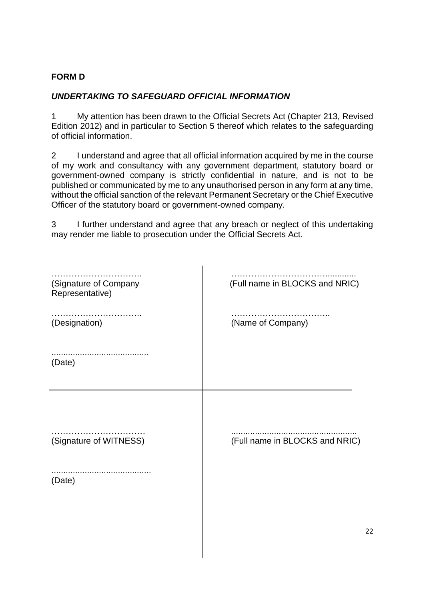### <span id="page-21-0"></span>**FORM D**

### *UNDERTAKING TO SAFEGUARD OFFICIAL INFORMATION*

1 My attention has been drawn to the Official Secrets Act (Chapter 213, Revised Edition 2012) and in particular to Section 5 thereof which relates to the safeguarding of official information.

2 I understand and agree that all official information acquired by me in the course of my work and consultancy with any government department, statutory board or government-owned company is strictly confidential in nature, and is not to be published or communicated by me to any unauthorised person in any form at any time, without the official sanction of the relevant Permanent Secretary or the Chief Executive Officer of the statutory board or government-owned company.

3 I further understand and agree that any breach or neglect of this undertaking may render me liable to prosecution under the Official Secrets Act.

| (Signature of Company<br>Representative) | (Full name in BLOCKS and NRIC) |
|------------------------------------------|--------------------------------|
| (Designation)                            | (Name of Company)              |
| <br>(Date)                               |                                |
|                                          |                                |
| (Signature of WITNESS)                   | (Full name in BLOCKS and NRIC) |
| (Date)                                   |                                |
|                                          |                                |
|                                          |                                |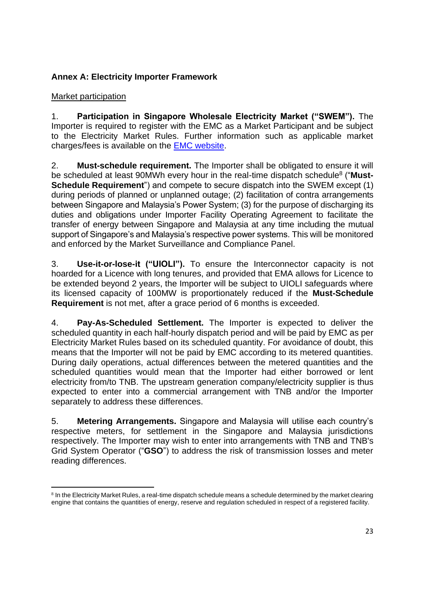### <span id="page-22-0"></span>**Annex A: Electricity Importer Framework**

### Market participation

1. **Participation in Singapore Wholesale Electricity Market ("SWEM").** The Importer is required to register with the EMC as a Market Participant and be subject to the Electricity Market Rules. Further information such as applicable market charges/fees is available on the [EMC website.](https://www.emcsg.com/AboutTheMarket/Registration)

2. **Must-schedule requirement.** The Importer shall be obligated to ensure it will be scheduled at least 90MWh every hour in the real-time dispatch schedule<sup>8</sup> ("Must-**Schedule Requirement**") and compete to secure dispatch into the SWEM except (1) during periods of planned or unplanned outage; (2) facilitation of contra arrangements between Singapore and Malaysia's Power System; (3) for the purpose of discharging its duties and obligations under Importer Facility Operating Agreement to facilitate the transfer of energy between Singapore and Malaysia at any time including the mutual support of Singapore's and Malaysia's respective power systems. This will be monitored and enforced by the Market Surveillance and Compliance Panel.

3. **Use-it-or-lose-it ("UIOLI").** To ensure the Interconnector capacity is not hoarded for a Licence with long tenures, and provided that EMA allows for Licence to be extended beyond 2 years, the Importer will be subject to UIOLI safeguards where its licensed capacity of 100MW is proportionately reduced if the **Must-Schedule Requirement** is not met, after a grace period of 6 months is exceeded.

4. **Pay-As-Scheduled Settlement.** The Importer is expected to deliver the scheduled quantity in each half-hourly dispatch period and will be paid by EMC as per Electricity Market Rules based on its scheduled quantity. For avoidance of doubt, this means that the Importer will not be paid by EMC according to its metered quantities. During daily operations, actual differences between the metered quantities and the scheduled quantities would mean that the Importer had either borrowed or lent electricity from/to TNB. The upstream generation company/electricity supplier is thus expected to enter into a commercial arrangement with TNB and/or the Importer separately to address these differences.

5. **Metering Arrangements.** Singapore and Malaysia will utilise each country's respective meters, for settlement in the Singapore and Malaysia jurisdictions respectively. The Importer may wish to enter into arrangements with TNB and TNB's Grid System Operator ("**GSO**") to address the risk of transmission losses and meter reading differences.

<sup>&</sup>lt;sup>8</sup> In the Electricity Market Rules, a real-time dispatch schedule means a schedule determined by the market clearing engine that contains the quantities of energy, reserve and regulation scheduled in respect of a registered facility.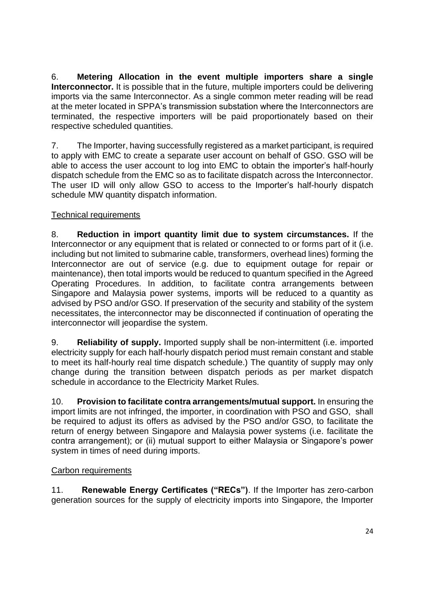6. **Metering Allocation in the event multiple importers share a single Interconnector.** It is possible that in the future, multiple importers could be delivering imports via the same Interconnector. As a single common meter reading will be read at the meter located in SPPA's transmission substation where the Interconnectors are terminated, the respective importers will be paid proportionately based on their respective scheduled quantities.

7. The Importer, having successfully registered as a market participant, is required to apply with EMC to create a separate user account on behalf of GSO. GSO will be able to access the user account to log into EMC to obtain the importer's half-hourly dispatch schedule from the EMC so as to facilitate dispatch across the Interconnector. The user ID will only allow GSO to access to the Importer's half-hourly dispatch schedule MW quantity dispatch information.

### Technical requirements

8. **Reduction in import quantity limit due to system circumstances.** If the Interconnector or any equipment that is related or connected to or forms part of it (i.e. including but not limited to submarine cable, transformers, overhead lines) forming the Interconnector are out of service (e.g. due to equipment outage for repair or maintenance), then total imports would be reduced to quantum specified in the Agreed Operating Procedures. In addition, to facilitate contra arrangements between Singapore and Malaysia power systems, imports will be reduced to a quantity as advised by PSO and/or GSO. If preservation of the security and stability of the system necessitates, the interconnector may be disconnected if continuation of operating the interconnector will jeopardise the system.

9. **Reliability of supply.** Imported supply shall be non-intermittent (i.e. imported electricity supply for each half-hourly dispatch period must remain constant and stable to meet its half-hourly real time dispatch schedule.) The quantity of supply may only change during the transition between dispatch periods as per market dispatch schedule in accordance to the Electricity Market Rules.

10. **Provision to facilitate contra arrangements/mutual support.** In ensuring the import limits are not infringed, the importer, in coordination with PSO and GSO, shall be required to adjust its offers as advised by the PSO and/or GSO, to facilitate the return of energy between Singapore and Malaysia power systems (i.e. facilitate the contra arrangement); or (ii) mutual support to either Malaysia or Singapore's power system in times of need during imports.

### Carbon requirements

11. **Renewable Energy Certificates ("RECs")**. If the Importer has zero-carbon generation sources for the supply of electricity imports into Singapore, the Importer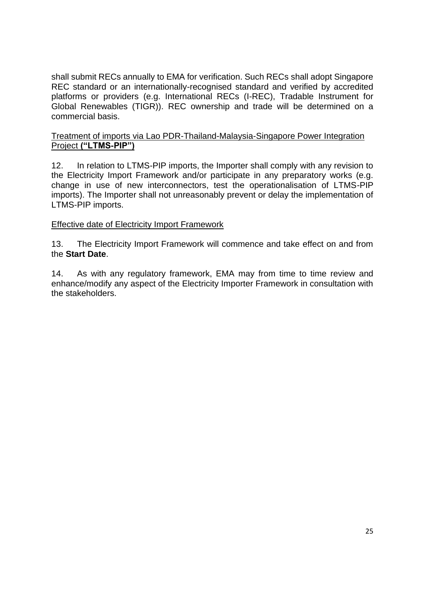shall submit RECs annually to EMA for verification. Such RECs shall adopt Singapore REC standard or an internationally-recognised standard and verified by accredited platforms or providers (e.g. International RECs (I-REC), Tradable Instrument for Global Renewables (TIGR)). REC ownership and trade will be determined on a commercial basis.

### Treatment of imports via Lao PDR-Thailand-Malaysia-Singapore Power Integration Project **("LTMS-PIP")**

12. In relation to LTMS-PIP imports, the Importer shall comply with any revision to the Electricity Import Framework and/or participate in any preparatory works (e.g. change in use of new interconnectors, test the operationalisation of LTMS-PIP imports). The Importer shall not unreasonably prevent or delay the implementation of LTMS-PIP imports.

### Effective date of Electricity Import Framework

13. The Electricity Import Framework will commence and take effect on and from the **Start Date**.

14. As with any regulatory framework, EMA may from time to time review and enhance/modify any aspect of the Electricity Importer Framework in consultation with the stakeholders.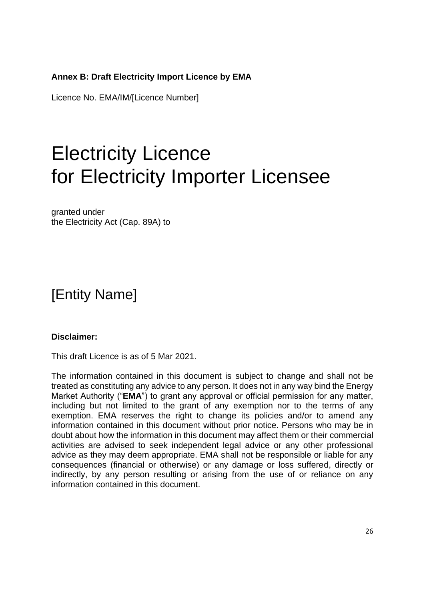### <span id="page-25-0"></span>**Annex B: Draft Electricity Import Licence by EMA**

Licence No. EMA/IM/[Licence Number]

# Electricity Licence for Electricity Importer Licensee

granted under the Electricity Act (Cap. 89A) to

# [Entity Name]

### **Disclaimer:**

This draft Licence is as of 5 Mar 2021.

The information contained in this document is subject to change and shall not be treated as constituting any advice to any person. It does not in any way bind the Energy Market Authority ("**EMA**") to grant any approval or official permission for any matter, including but not limited to the grant of any exemption nor to the terms of any exemption. EMA reserves the right to change its policies and/or to amend any information contained in this document without prior notice. Persons who may be in doubt about how the information in this document may affect them or their commercial activities are advised to seek independent legal advice or any other professional advice as they may deem appropriate. EMA shall not be responsible or liable for any consequences (financial or otherwise) or any damage or loss suffered, directly or indirectly, by any person resulting or arising from the use of or reliance on any information contained in this document.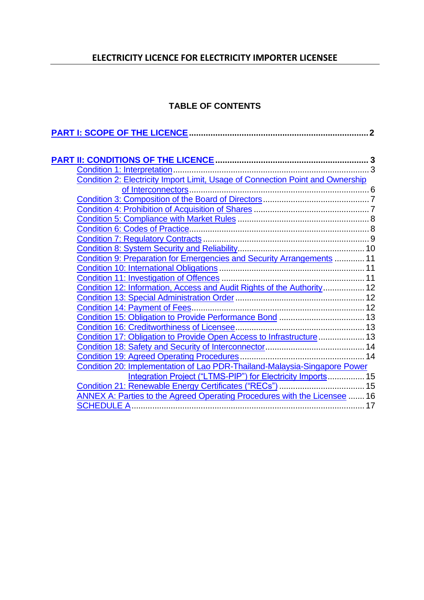# **ELECTRICITY LICENCE FOR ELECTRICITY IMPORTER LICENSEE**

### **TABLE OF CONTENTS**

| Condition 2: Electricity Import Limit, Usage of Connection Point and Ownership |  |
|--------------------------------------------------------------------------------|--|
|                                                                                |  |
|                                                                                |  |
|                                                                                |  |
|                                                                                |  |
|                                                                                |  |
|                                                                                |  |
|                                                                                |  |
| Condition 9: Preparation for Emergencies and Security Arrangements  11         |  |
|                                                                                |  |
|                                                                                |  |
| Condition 12: Information, Access and Audit Rights of the Authority 12         |  |
|                                                                                |  |
|                                                                                |  |
| Condition 15: Obligation to Provide Performance Bond  13                       |  |
|                                                                                |  |
| Condition 17: Obligation to Provide Open Access to Infrastructure  13          |  |
|                                                                                |  |
|                                                                                |  |
| Condition 20: Implementation of Lao PDR-Thailand-Malaysia-Singapore Power      |  |
| Integration Project ("LTMS-PIP") for Electricity Imports 15                    |  |
| Condition 21: Renewable Energy Certificates ("RECs")  15                       |  |
| ANNEX A: Parties to the Agreed Operating Procedures with the Licensee  16      |  |
|                                                                                |  |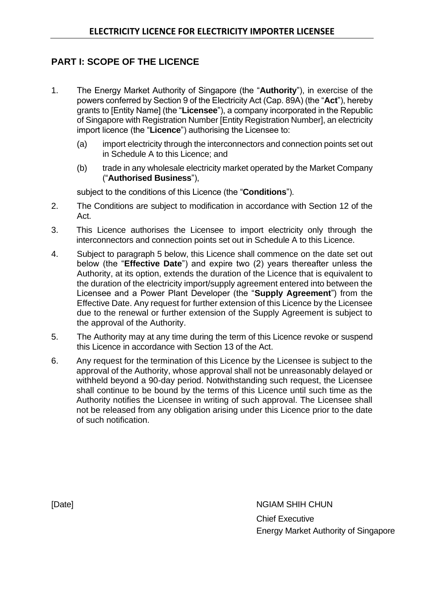# <span id="page-27-0"></span>**PART I: SCOPE OF THE LICENCE**

- 1. The Energy Market Authority of Singapore (the "**Authority**"), in exercise of the powers conferred by Section 9 of the Electricity Act (Cap. 89A) (the "**Act**"), hereby grants to [Entity Name] (the "**Licensee**"), a company incorporated in the Republic of Singapore with Registration Number [Entity Registration Number], an electricity import licence (the "**Licence**") authorising the Licensee to:
	- (a) import electricity through the interconnectors and connection points set out in Schedule A to this Licence; and
	- (b) trade in any wholesale electricity market operated by the Market Company ("**Authorised Business**"),

subject to the conditions of this Licence (the "**Conditions**").

- 2. The Conditions are subject to modification in accordance with Section 12 of the Act.
- 3. This Licence authorises the Licensee to import electricity only through the interconnectors and connection points set out in Schedule A to this Licence.
- 4. Subject to paragraph 5 below, this Licence shall commence on the date set out below (the "**Effective Date**") and expire two (2) years thereafter unless the Authority, at its option, extends the duration of the Licence that is equivalent to the duration of the electricity import/supply agreement entered into between the Licensee and a Power Plant Developer (the "**Supply Agreement**") from the Effective Date. Any request for further extension of this Licence by the Licensee due to the renewal or further extension of the Supply Agreement is subject to the approval of the Authority.
- 5. The Authority may at any time during the term of this Licence revoke or suspend this Licence in accordance with Section 13 of the Act.
- 6. Any request for the termination of this Licence by the Licensee is subject to the approval of the Authority, whose approval shall not be unreasonably delayed or withheld beyond a 90-day period. Notwithstanding such request, the Licensee shall continue to be bound by the terms of this Licence until such time as the Authority notifies the Licensee in writing of such approval. The Licensee shall not be released from any obligation arising under this Licence prior to the date of such notification.

[Date] NGIAM SHIH CHUN Chief Executive Energy Market Authority of Singapore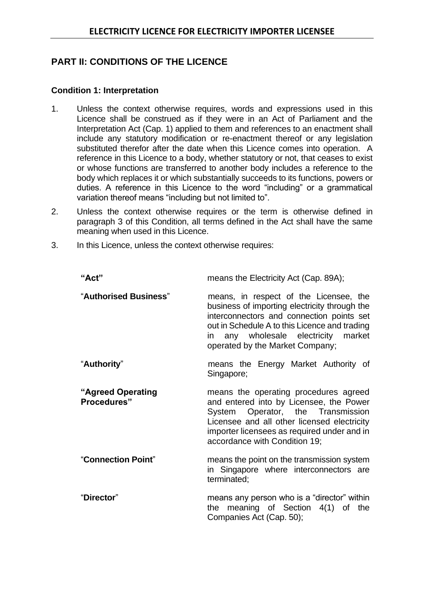### <span id="page-28-0"></span>**PART II: CONDITIONS OF THE LICENCE**

### <span id="page-28-1"></span>**Condition 1: Interpretation**

- 1. Unless the context otherwise requires, words and expressions used in this Licence shall be construed as if they were in an Act of Parliament and the Interpretation Act (Cap. 1) applied to them and references to an enactment shall include any statutory modification or re-enactment thereof or any legislation substituted therefor after the date when this Licence comes into operation. A reference in this Licence to a body, whether statutory or not, that ceases to exist or whose functions are transferred to another body includes a reference to the body which replaces it or which substantially succeeds to its functions, powers or duties. A reference in this Licence to the word "including" or a grammatical variation thereof means "including but not limited to".
- 2. Unless the context otherwise requires or the term is otherwise defined in paragraph 3 of this Condition, all terms defined in the Act shall have the same meaning when used in this Licence.
- 3. In this Licence, unless the context otherwise requires:

| "Act"                            | means the Electricity Act (Cap. 89A);                                                                                                                                                                                                                           |
|----------------------------------|-----------------------------------------------------------------------------------------------------------------------------------------------------------------------------------------------------------------------------------------------------------------|
| "Authorised Business"            | means, in respect of the Licensee, the<br>business of importing electricity through the<br>interconnectors and connection points set<br>out in Schedule A to this Licence and trading<br>in any wholesale electricity market<br>operated by the Market Company; |
| "Authority"                      | means the Energy Market Authority of<br>Singapore;                                                                                                                                                                                                              |
| "Agreed Operating<br>Procedures" | means the operating procedures agreed<br>and entered into by Licensee, the Power<br>System Operator, the Transmission<br>Licensee and all other licensed electricity<br>importer licensees as required under and in<br>accordance with Condition 19;            |
| "Connection Point"               | means the point on the transmission system<br>in Singapore where interconnectors are<br>terminated;                                                                                                                                                             |
| "Director"                       | means any person who is a "director" within<br>the meaning of Section 4(1) of the<br>Companies Act (Cap. 50);                                                                                                                                                   |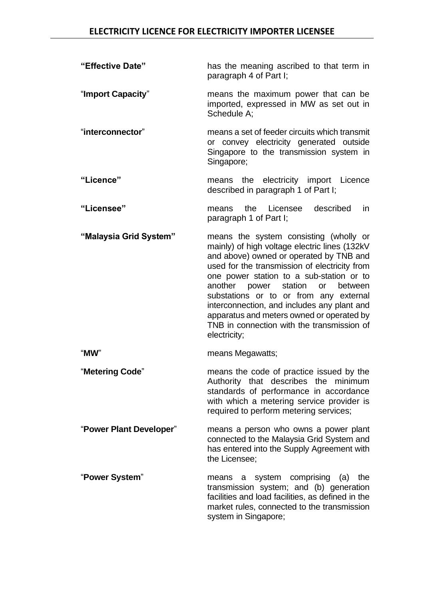| "Effective Date"        | has the meaning ascribed to that term in<br>paragraph 4 of Part I;                                                                                                                                                                                                                                                                                                                                                                                                               |
|-------------------------|----------------------------------------------------------------------------------------------------------------------------------------------------------------------------------------------------------------------------------------------------------------------------------------------------------------------------------------------------------------------------------------------------------------------------------------------------------------------------------|
| "Import Capacity"       | means the maximum power that can be<br>imported, expressed in MW as set out in<br>Schedule A;                                                                                                                                                                                                                                                                                                                                                                                    |
| "interconnector"        | means a set of feeder circuits which transmit<br>or convey electricity generated outside<br>Singapore to the transmission system in<br>Singapore;                                                                                                                                                                                                                                                                                                                                |
| "Licence"               | means the electricity import Licence<br>described in paragraph 1 of Part I;                                                                                                                                                                                                                                                                                                                                                                                                      |
| "Licensee"              | Licensee described<br>the<br>in.<br>means<br>paragraph 1 of Part I;                                                                                                                                                                                                                                                                                                                                                                                                              |
| "Malaysia Grid System"  | means the system consisting (wholly or<br>mainly) of high voltage electric lines (132kV<br>and above) owned or operated by TNB and<br>used for the transmission of electricity from<br>one power station to a sub-station or to<br>another power<br>station<br>between<br>or<br>substations or to or from any external<br>interconnection, and includes any plant and<br>apparatus and meters owned or operated by<br>TNB in connection with the transmission of<br>electricity; |
| "MW"                    | means Megawatts;                                                                                                                                                                                                                                                                                                                                                                                                                                                                 |
| "Metering Code"         | means the code of practice issued by the<br>Authority that describes the minimum<br>standards of performance in accordance<br>with which a metering service provider is<br>required to perform metering services;                                                                                                                                                                                                                                                                |
| "Power Plant Developer" | means a person who owns a power plant<br>connected to the Malaysia Grid System and<br>has entered into the Supply Agreement with<br>the Licensee;                                                                                                                                                                                                                                                                                                                                |
| "Power System"          | system comprising<br>the<br>(a)<br>means<br>a<br>transmission system; and (b) generation<br>facilities and load facilities, as defined in the<br>market rules, connected to the transmission<br>system in Singapore;                                                                                                                                                                                                                                                             |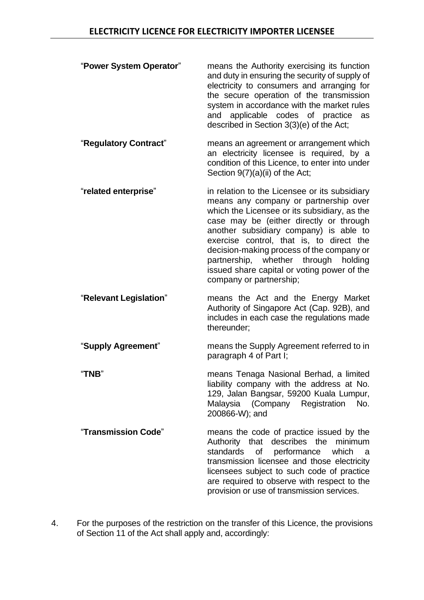| "Power System Operator" | means the Authority exercising its function<br>and duty in ensuring the security of supply of<br>electricity to consumers and arranging for<br>the secure operation of the transmission<br>system in accordance with the market rules<br>applicable codes of practice<br>and<br>as<br>described in Section 3(3)(e) of the Act;                                                                                                            |
|-------------------------|-------------------------------------------------------------------------------------------------------------------------------------------------------------------------------------------------------------------------------------------------------------------------------------------------------------------------------------------------------------------------------------------------------------------------------------------|
| "Regulatory Contract"   | means an agreement or arrangement which<br>an electricity licensee is required, by a<br>condition of this Licence, to enter into under<br>Section 9(7)(a)(ii) of the Act;                                                                                                                                                                                                                                                                 |
| "related enterprise"    | in relation to the Licensee or its subsidiary<br>means any company or partnership over<br>which the Licensee or its subsidiary, as the<br>case may be (either directly or through<br>another subsidiary company) is able to<br>exercise control, that is, to direct the<br>decision-making process of the company or<br>partnership, whether through<br>holding<br>issued share capital or voting power of the<br>company or partnership; |
| "Relevant Legislation"  | means the Act and the Energy Market<br>Authority of Singapore Act (Cap. 92B), and<br>includes in each case the regulations made<br>thereunder;                                                                                                                                                                                                                                                                                            |
| "Supply Agreement"      | means the Supply Agreement referred to in<br>paragraph 4 of Part I;                                                                                                                                                                                                                                                                                                                                                                       |
| "TNB"                   | means Tenaga Nasional Berhad, a limited<br>liability company with the address at No.<br>129, Jalan Bangsar, 59200 Kuala Lumpur,<br>Malaysia (Company Registration<br>No.<br>200866-W); and                                                                                                                                                                                                                                                |
| "Transmission Code"     | means the code of practice issued by the<br>Authority that describes the minimum<br>standards<br>of<br>performance<br>which<br>a<br>transmission licensee and those electricity<br>licensees subject to such code of practice<br>are required to observe with respect to the<br>provision or use of transmission services.                                                                                                                |

4. For the purposes of the restriction on the transfer of this Licence, the provisions of Section 11 of the Act shall apply and, accordingly: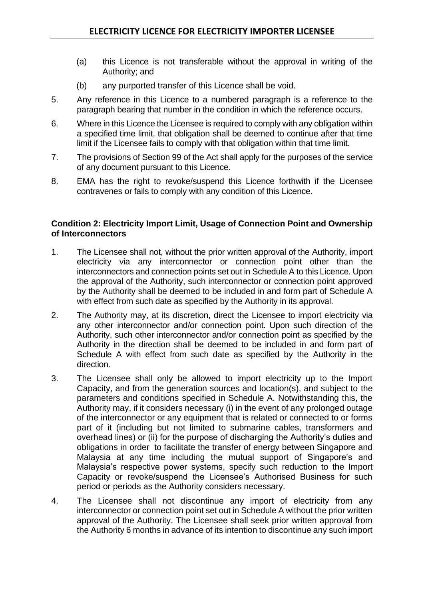- (a) this Licence is not transferable without the approval in writing of the Authority; and
- (b) any purported transfer of this Licence shall be void.
- 5. Any reference in this Licence to a numbered paragraph is a reference to the paragraph bearing that number in the condition in which the reference occurs.
- 6. Where in this Licence the Licensee is required to comply with any obligation within a specified time limit, that obligation shall be deemed to continue after that time limit if the Licensee fails to comply with that obligation within that time limit.
- 7. The provisions of Section 99 of the Act shall apply for the purposes of the service of any document pursuant to this Licence.
- 8. EMA has the right to revoke/suspend this Licence forthwith if the Licensee contravenes or fails to comply with any condition of this Licence.

### <span id="page-31-0"></span>**Condition 2: Electricity Import Limit, Usage of Connection Point and Ownership of Interconnectors**

- 1. The Licensee shall not, without the prior written approval of the Authority, import electricity via any interconnector or connection point other than the interconnectors and connection points set out in Schedule A to this Licence. Upon the approval of the Authority, such interconnector or connection point approved by the Authority shall be deemed to be included in and form part of Schedule A with effect from such date as specified by the Authority in its approval.
- 2. The Authority may, at its discretion, direct the Licensee to import electricity via any other interconnector and/or connection point. Upon such direction of the Authority, such other interconnector and/or connection point as specified by the Authority in the direction shall be deemed to be included in and form part of Schedule A with effect from such date as specified by the Authority in the direction.
- 3. The Licensee shall only be allowed to import electricity up to the Import Capacity, and from the generation sources and location(s), and subject to the parameters and conditions specified in Schedule A. Notwithstanding this, the Authority may, if it considers necessary (i) in the event of any prolonged outage of the interconnector or any equipment that is related or connected to or forms part of it (including but not limited to submarine cables, transformers and overhead lines) or (ii) for the purpose of discharging the Authority's duties and obligations in order to facilitate the transfer of energy between Singapore and Malaysia at any time including the mutual support of Singapore's and Malaysia's respective power systems, specify such reduction to the Import Capacity or revoke/suspend the Licensee's Authorised Business for such period or periods as the Authority considers necessary.
- 4. The Licensee shall not discontinue any import of electricity from any interconnector or connection point set out in Schedule A without the prior written approval of the Authority. The Licensee shall seek prior written approval from the Authority 6 months in advance of its intention to discontinue any such import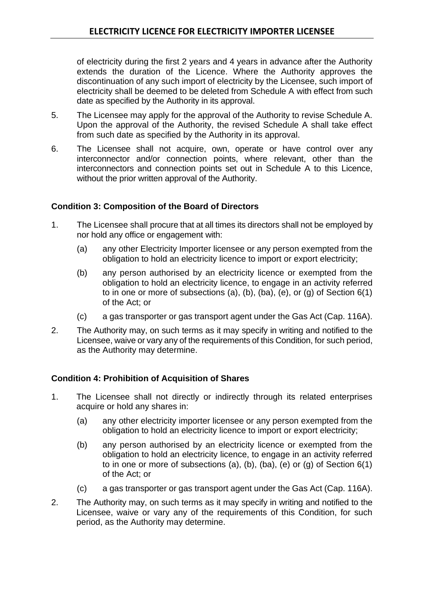of electricity during the first 2 years and 4 years in advance after the Authority extends the duration of the Licence. Where the Authority approves the discontinuation of any such import of electricity by the Licensee, such import of electricity shall be deemed to be deleted from Schedule A with effect from such date as specified by the Authority in its approval.

- 5. The Licensee may apply for the approval of the Authority to revise Schedule A. Upon the approval of the Authority, the revised Schedule A shall take effect from such date as specified by the Authority in its approval.
- 6. The Licensee shall not acquire, own, operate or have control over any interconnector and/or connection points, where relevant, other than the interconnectors and connection points set out in Schedule A to this Licence, without the prior written approval of the Authority.

### <span id="page-32-0"></span>**Condition 3: Composition of the Board of Directors**

- 1. The Licensee shall procure that at all times its directors shall not be employed by nor hold any office or engagement with:
	- (a) any other Electricity Importer licensee or any person exempted from the obligation to hold an electricity licence to import or export electricity;
	- (b) any person authorised by an electricity licence or exempted from the obligation to hold an electricity licence, to engage in an activity referred to in one or more of subsections (a), (b), (ba), (e), or (g) of Section  $6(1)$ of the Act; or
	- (c) a gas transporter or gas transport agent under the Gas Act (Cap. 116A).
- 2. The Authority may, on such terms as it may specify in writing and notified to the Licensee, waive or vary any of the requirements of this Condition, for such period, as the Authority may determine.

### <span id="page-32-1"></span>**Condition 4: Prohibition of Acquisition of Shares**

- 1. The Licensee shall not directly or indirectly through its related enterprises acquire or hold any shares in:
	- (a) any other electricity importer licensee or any person exempted from the obligation to hold an electricity licence to import or export electricity;
	- (b) any person authorised by an electricity licence or exempted from the obligation to hold an electricity licence, to engage in an activity referred to in one or more of subsections (a), (b), (ba), (e) or (g) of Section  $6(1)$ of the Act; or
	- (c) a gas transporter or gas transport agent under the Gas Act (Cap. 116A).
- 2. The Authority may, on such terms as it may specify in writing and notified to the Licensee, waive or vary any of the requirements of this Condition, for such period, as the Authority may determine.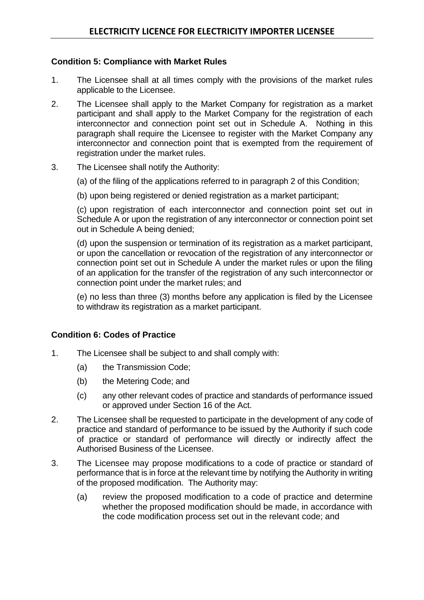### <span id="page-33-0"></span>**Condition 5: Compliance with Market Rules**

- 1. The Licensee shall at all times comply with the provisions of the market rules applicable to the Licensee.
- 2. The Licensee shall apply to the Market Company for registration as a market participant and shall apply to the Market Company for the registration of each interconnector and connection point set out in Schedule A. Nothing in this paragraph shall require the Licensee to register with the Market Company any interconnector and connection point that is exempted from the requirement of registration under the market rules.
- 3. The Licensee shall notify the Authority:
	- (a) of the filing of the applications referred to in paragraph 2 of this Condition;
	- (b) upon being registered or denied registration as a market participant;

(c) upon registration of each interconnector and connection point set out in Schedule A or upon the registration of any interconnector or connection point set out in Schedule A being denied;

(d) upon the suspension or termination of its registration as a market participant, or upon the cancellation or revocation of the registration of any interconnector or connection point set out in Schedule A under the market rules or upon the filing of an application for the transfer of the registration of any such interconnector or connection point under the market rules; and

(e) no less than three (3) months before any application is filed by the Licensee to withdraw its registration as a market participant.

### <span id="page-33-1"></span>**Condition 6: Codes of Practice**

- 1. The Licensee shall be subject to and shall comply with:
	- (a) the Transmission Code;
	- (b) the Metering Code; and
	- (c) any other relevant codes of practice and standards of performance issued or approved under Section 16 of the Act.
- 2. The Licensee shall be requested to participate in the development of any code of practice and standard of performance to be issued by the Authority if such code of practice or standard of performance will directly or indirectly affect the Authorised Business of the Licensee.
- 3. The Licensee may propose modifications to a code of practice or standard of performance that is in force at the relevant time by notifying the Authority in writing of the proposed modification. The Authority may:
	- (a) review the proposed modification to a code of practice and determine whether the proposed modification should be made, in accordance with the code modification process set out in the relevant code; and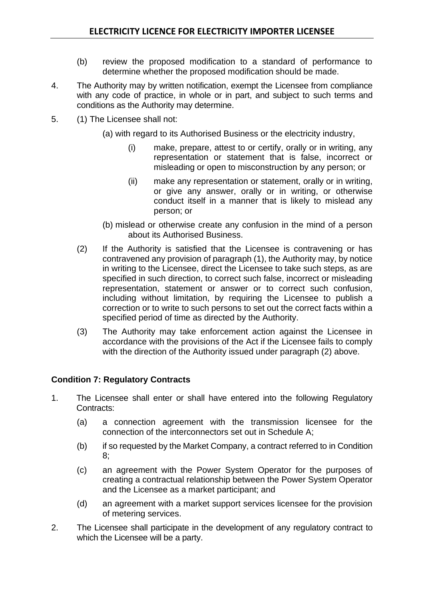- (b) review the proposed modification to a standard of performance to determine whether the proposed modification should be made.
- 4. The Authority may by written notification, exempt the Licensee from compliance with any code of practice, in whole or in part, and subject to such terms and conditions as the Authority may determine.
- 5. (1) The Licensee shall not:
	- (a) with regard to its Authorised Business or the electricity industry,
		- (i) make, prepare, attest to or certify, orally or in writing, any representation or statement that is false, incorrect or misleading or open to misconstruction by any person; or
		- (ii) make any representation or statement, orally or in writing, or give any answer, orally or in writing, or otherwise conduct itself in a manner that is likely to mislead any person; or
	- (b) mislead or otherwise create any confusion in the mind of a person about its Authorised Business.
	- (2) If the Authority is satisfied that the Licensee is contravening or has contravened any provision of paragraph (1), the Authority may, by notice in writing to the Licensee, direct the Licensee to take such steps, as are specified in such direction, to correct such false, incorrect or misleading representation, statement or answer or to correct such confusion, including without limitation, by requiring the Licensee to publish a correction or to write to such persons to set out the correct facts within a specified period of time as directed by the Authority.
	- (3) The Authority may take enforcement action against the Licensee in accordance with the provisions of the Act if the Licensee fails to comply with the direction of the Authority issued under paragraph (2) above.

### <span id="page-34-0"></span>**Condition 7: Regulatory Contracts**

- 1. The Licensee shall enter or shall have entered into the following Regulatory Contracts:
	- (a) a connection agreement with the transmission licensee for the connection of the interconnectors set out in Schedule A;
	- (b) if so requested by the Market Company, a contract referred to in Condition 8;
	- (c) an agreement with the Power System Operator for the purposes of creating a contractual relationship between the Power System Operator and the Licensee as a market participant; and
	- (d) an agreement with a market support services licensee for the provision of metering services.
- 2. The Licensee shall participate in the development of any regulatory contract to which the Licensee will be a party.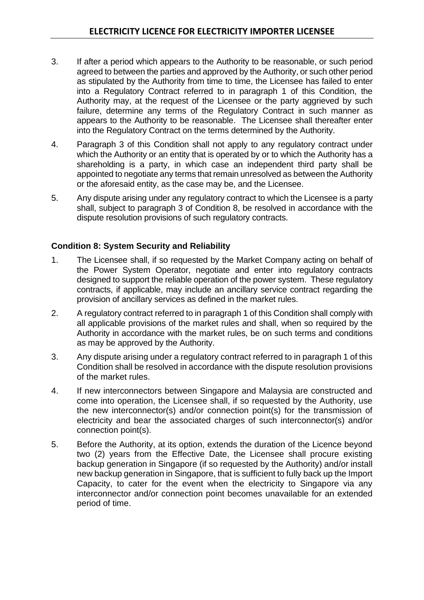- 3. If after a period which appears to the Authority to be reasonable, or such period agreed to between the parties and approved by the Authority, or such other period as stipulated by the Authority from time to time, the Licensee has failed to enter into a Regulatory Contract referred to in paragraph 1 of this Condition, the Authority may, at the request of the Licensee or the party aggrieved by such failure, determine any terms of the Regulatory Contract in such manner as appears to the Authority to be reasonable. The Licensee shall thereafter enter into the Regulatory Contract on the terms determined by the Authority.
- 4. Paragraph 3 of this Condition shall not apply to any regulatory contract under which the Authority or an entity that is operated by or to which the Authority has a shareholding is a party, in which case an independent third party shall be appointed to negotiate any terms that remain unresolved as between the Authority or the aforesaid entity, as the case may be, and the Licensee.
- 5. Any dispute arising under any regulatory contract to which the Licensee is a party shall, subject to paragraph 3 of Condition 8, be resolved in accordance with the dispute resolution provisions of such regulatory contracts.

### <span id="page-35-0"></span>**Condition 8: System Security and Reliability**

- 1. The Licensee shall, if so requested by the Market Company acting on behalf of the Power System Operator, negotiate and enter into regulatory contracts designed to support the reliable operation of the power system. These regulatory contracts, if applicable, may include an ancillary service contract regarding the provision of ancillary services as defined in the market rules.
- 2. A regulatory contract referred to in paragraph 1 of this Condition shall comply with all applicable provisions of the market rules and shall, when so required by the Authority in accordance with the market rules, be on such terms and conditions as may be approved by the Authority.
- 3. Any dispute arising under a regulatory contract referred to in paragraph 1 of this Condition shall be resolved in accordance with the dispute resolution provisions of the market rules.
- 4. If new interconnectors between Singapore and Malaysia are constructed and come into operation, the Licensee shall, if so requested by the Authority, use the new interconnector(s) and/or connection point(s) for the transmission of electricity and bear the associated charges of such interconnector(s) and/or connection point(s).
- 5. Before the Authority, at its option, extends the duration of the Licence beyond two (2) years from the Effective Date, the Licensee shall procure existing backup generation in Singapore (if so requested by the Authority) and/or install new backup generation in Singapore, that is sufficient to fully back up the Import Capacity, to cater for the event when the electricity to Singapore via any interconnector and/or connection point becomes unavailable for an extended period of time.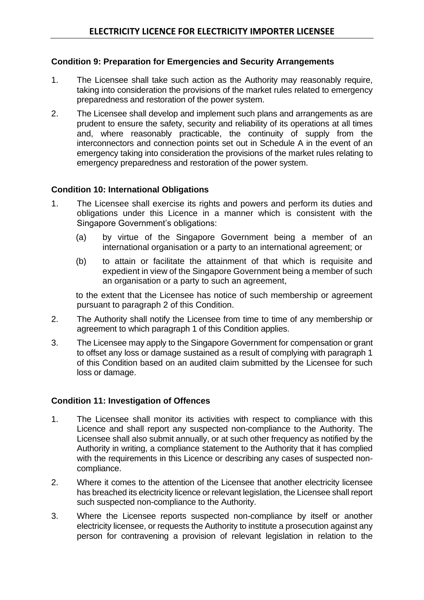### <span id="page-36-0"></span>**Condition 9: Preparation for Emergencies and Security Arrangements**

- 1. The Licensee shall take such action as the Authority may reasonably require, taking into consideration the provisions of the market rules related to emergency preparedness and restoration of the power system.
- 2. The Licensee shall develop and implement such plans and arrangements as are prudent to ensure the safety, security and reliability of its operations at all times and, where reasonably practicable, the continuity of supply from the interconnectors and connection points set out in Schedule A in the event of an emergency taking into consideration the provisions of the market rules relating to emergency preparedness and restoration of the power system.

### <span id="page-36-1"></span>**Condition 10: International Obligations**

- 1. The Licensee shall exercise its rights and powers and perform its duties and obligations under this Licence in a manner which is consistent with the Singapore Government's obligations:
	- (a) by virtue of the Singapore Government being a member of an international organisation or a party to an international agreement; or
	- (b) to attain or facilitate the attainment of that which is requisite and expedient in view of the Singapore Government being a member of such an organisation or a party to such an agreement,

to the extent that the Licensee has notice of such membership or agreement pursuant to paragraph 2 of this Condition.

- 2. The Authority shall notify the Licensee from time to time of any membership or agreement to which paragraph 1 of this Condition applies.
- 3. The Licensee may apply to the Singapore Government for compensation or grant to offset any loss or damage sustained as a result of complying with paragraph 1 of this Condition based on an audited claim submitted by the Licensee for such loss or damage.

### <span id="page-36-2"></span>**Condition 11: Investigation of Offences**

- 1. The Licensee shall monitor its activities with respect to compliance with this Licence and shall report any suspected non-compliance to the Authority. The Licensee shall also submit annually, or at such other frequency as notified by the Authority in writing, a compliance statement to the Authority that it has complied with the requirements in this Licence or describing any cases of suspected noncompliance.
- 2. Where it comes to the attention of the Licensee that another electricity licensee has breached its electricity licence or relevant legislation, the Licensee shall report such suspected non-compliance to the Authority.
- 3. Where the Licensee reports suspected non-compliance by itself or another electricity licensee, or requests the Authority to institute a prosecution against any person for contravening a provision of relevant legislation in relation to the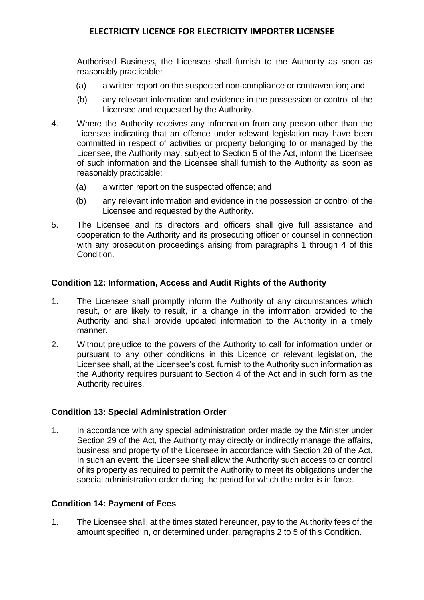Authorised Business, the Licensee shall furnish to the Authority as soon as reasonably practicable:

- (a) a written report on the suspected non-compliance or contravention; and
- (b) any relevant information and evidence in the possession or control of the Licensee and requested by the Authority.
- 4. Where the Authority receives any information from any person other than the Licensee indicating that an offence under relevant legislation may have been committed in respect of activities or property belonging to or managed by the Licensee, the Authority may, subject to Section 5 of the Act, inform the Licensee of such information and the Licensee shall furnish to the Authority as soon as reasonably practicable:
	- (a) a written report on the suspected offence; and
	- (b) any relevant information and evidence in the possession or control of the Licensee and requested by the Authority.
- 5. The Licensee and its directors and officers shall give full assistance and cooperation to the Authority and its prosecuting officer or counsel in connection with any prosecution proceedings arising from paragraphs 1 through 4 of this Condition.

### <span id="page-37-0"></span>**Condition 12: Information, Access and Audit Rights of the Authority**

- 1. The Licensee shall promptly inform the Authority of any circumstances which result, or are likely to result, in a change in the information provided to the Authority and shall provide updated information to the Authority in a timely manner.
- 2. Without prejudice to the powers of the Authority to call for information under or pursuant to any other conditions in this Licence or relevant legislation, the Licensee shall, at the Licensee's cost, furnish to the Authority such information as the Authority requires pursuant to Section 4 of the Act and in such form as the Authority requires.

### <span id="page-37-1"></span>**Condition 13: Special Administration Order**

1. In accordance with any special administration order made by the Minister under Section 29 of the Act, the Authority may directly or indirectly manage the affairs, business and property of the Licensee in accordance with Section 28 of the Act. In such an event, the Licensee shall allow the Authority such access to or control of its property as required to permit the Authority to meet its obligations under the special administration order during the period for which the order is in force.

### <span id="page-37-2"></span>**Condition 14: Payment of Fees**

1. The Licensee shall, at the times stated hereunder, pay to the Authority fees of the amount specified in, or determined under, paragraphs 2 to 5 of this Condition.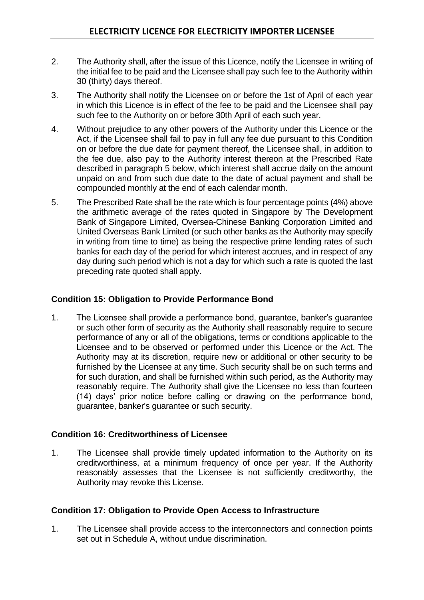- 2. The Authority shall, after the issue of this Licence, notify the Licensee in writing of the initial fee to be paid and the Licensee shall pay such fee to the Authority within 30 (thirty) days thereof.
- 3. The Authority shall notify the Licensee on or before the 1st of April of each year in which this Licence is in effect of the fee to be paid and the Licensee shall pay such fee to the Authority on or before 30th April of each such year.
- 4. Without prejudice to any other powers of the Authority under this Licence or the Act, if the Licensee shall fail to pay in full any fee due pursuant to this Condition on or before the due date for payment thereof, the Licensee shall, in addition to the fee due, also pay to the Authority interest thereon at the Prescribed Rate described in paragraph 5 below, which interest shall accrue daily on the amount unpaid on and from such due date to the date of actual payment and shall be compounded monthly at the end of each calendar month.
- 5. The Prescribed Rate shall be the rate which is four percentage points (4%) above the arithmetic average of the rates quoted in Singapore by The Development Bank of Singapore Limited, Oversea-Chinese Banking Corporation Limited and United Overseas Bank Limited (or such other banks as the Authority may specify in writing from time to time) as being the respective prime lending rates of such banks for each day of the period for which interest accrues, and in respect of any day during such period which is not a day for which such a rate is quoted the last preceding rate quoted shall apply.

### <span id="page-38-0"></span>**Condition 15: Obligation to Provide Performance Bond**

1. The Licensee shall provide a performance bond, guarantee, banker's guarantee or such other form of security as the Authority shall reasonably require to secure performance of any or all of the obligations, terms or conditions applicable to the Licensee and to be observed or performed under this Licence or the Act. The Authority may at its discretion, require new or additional or other security to be furnished by the Licensee at any time. Such security shall be on such terms and for such duration, and shall be furnished within such period, as the Authority may reasonably require. The Authority shall give the Licensee no less than fourteen (14) days' prior notice before calling or drawing on the performance bond, guarantee, banker's guarantee or such security.

### <span id="page-38-1"></span>**Condition 16: Creditworthiness of Licensee**

1. The Licensee shall provide timely updated information to the Authority on its creditworthiness, at a minimum frequency of once per year. If the Authority reasonably assesses that the Licensee is not sufficiently creditworthy, the Authority may revoke this License.

### <span id="page-38-2"></span>**Condition 17: Obligation to Provide Open Access to Infrastructure**

1. The Licensee shall provide access to the interconnectors and connection points set out in Schedule A, without undue discrimination.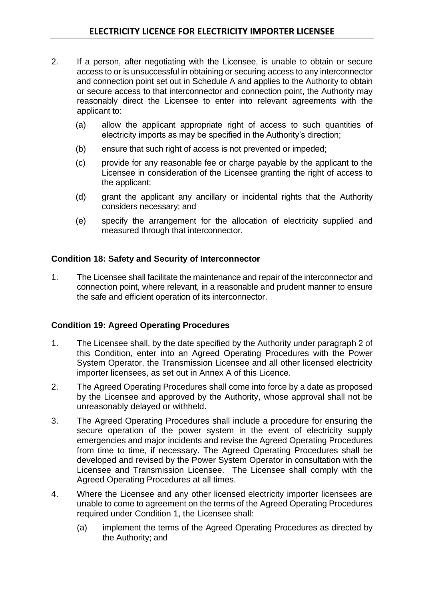- 2. If a person, after negotiating with the Licensee, is unable to obtain or secure access to or is unsuccessful in obtaining or securing access to any interconnector and connection point set out in Schedule A and applies to the Authority to obtain or secure access to that interconnector and connection point, the Authority may reasonably direct the Licensee to enter into relevant agreements with the applicant to:
	- (a) allow the applicant appropriate right of access to such quantities of electricity imports as may be specified in the Authority's direction;
	- (b) ensure that such right of access is not prevented or impeded;
	- (c) provide for any reasonable fee or charge payable by the applicant to the Licensee in consideration of the Licensee granting the right of access to the applicant;
	- (d) grant the applicant any ancillary or incidental rights that the Authority considers necessary; and
	- (e) specify the arrangement for the allocation of electricity supplied and measured through that interconnector.

### <span id="page-39-0"></span>**Condition 18: Safety and Security of Interconnector**

1. The Licensee shall facilitate the maintenance and repair of the interconnector and connection point, where relevant, in a reasonable and prudent manner to ensure the safe and efficient operation of its interconnector.

### <span id="page-39-1"></span>**Condition 19: Agreed Operating Procedures**

- 1. The Licensee shall, by the date specified by the Authority under paragraph 2 of this Condition, enter into an Agreed Operating Procedures with the Power System Operator, the Transmission Licensee and all other licensed electricity importer licensees, as set out in Annex A of this Licence.
- 2. The Agreed Operating Procedures shall come into force by a date as proposed by the Licensee and approved by the Authority, whose approval shall not be unreasonably delayed or withheld.
- 3. The Agreed Operating Procedures shall include a procedure for ensuring the secure operation of the power system in the event of electricity supply emergencies and major incidents and revise the Agreed Operating Procedures from time to time, if necessary. The Agreed Operating Procedures shall be developed and revised by the Power System Operator in consultation with the Licensee and Transmission Licensee. The Licensee shall comply with the Agreed Operating Procedures at all times.
- 4. Where the Licensee and any other licensed electricity importer licensees are unable to come to agreement on the terms of the Agreed Operating Procedures required under Condition 1, the Licensee shall:
	- (a) implement the terms of the Agreed Operating Procedures as directed by the Authority; and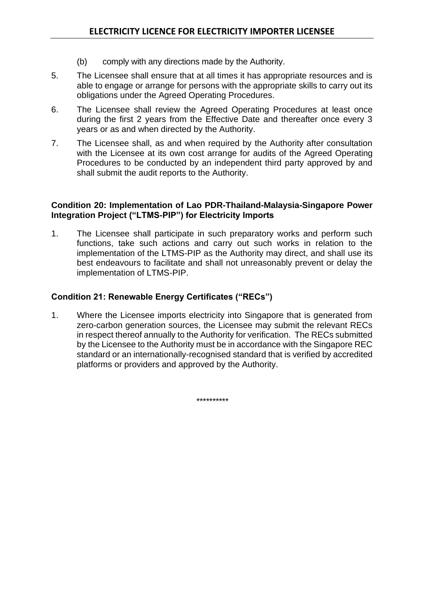- (b) comply with any directions made by the Authority.
- 5. The Licensee shall ensure that at all times it has appropriate resources and is able to engage or arrange for persons with the appropriate skills to carry out its obligations under the Agreed Operating Procedures.
- 6. The Licensee shall review the Agreed Operating Procedures at least once during the first 2 years from the Effective Date and thereafter once every 3 years or as and when directed by the Authority.
- 7. The Licensee shall, as and when required by the Authority after consultation with the Licensee at its own cost arrange for audits of the Agreed Operating Procedures to be conducted by an independent third party approved by and shall submit the audit reports to the Authority.

### <span id="page-40-0"></span>**Condition 20: Implementation of Lao PDR-Thailand-Malaysia-Singapore Power Integration Project ("LTMS-PIP") for Electricity Imports**

1. The Licensee shall participate in such preparatory works and perform such functions, take such actions and carry out such works in relation to the implementation of the LTMS-PIP as the Authority may direct, and shall use its best endeavours to facilitate and shall not unreasonably prevent or delay the implementation of LTMS-PIP.

### <span id="page-40-1"></span>**Condition 21: Renewable Energy Certificates ("RECs")**

1. Where the Licensee imports electricity into Singapore that is generated from zero-carbon generation sources, the Licensee may submit the relevant RECs in respect thereof annually to the Authority for verification. The RECs submitted by the Licensee to the Authority must be in accordance with the Singapore REC standard or an internationally-recognised standard that is verified by accredited platforms or providers and approved by the Authority.

\*\*\*\*\*\*\*\*\*\*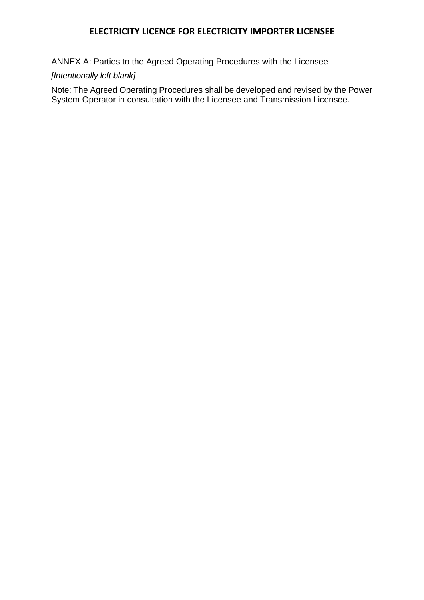### <span id="page-41-0"></span>ANNEX A: Parties to the Agreed Operating Procedures with the Licensee

# *[Intentionally left blank]*

Note: The Agreed Operating Procedures shall be developed and revised by the Power System Operator in consultation with the Licensee and Transmission Licensee.